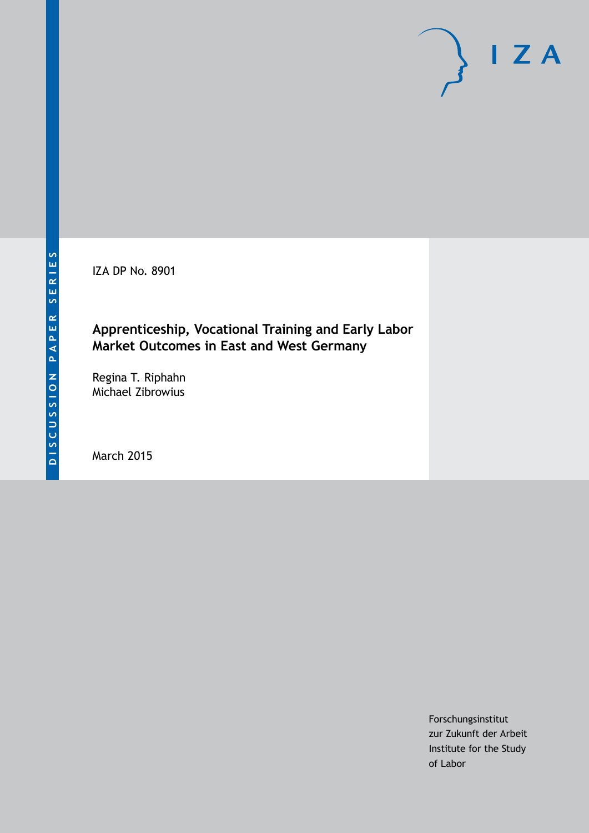IZA DP No. 8901

# **Apprenticeship, Vocational Training and Early Labor Market Outcomes in East and West Germany**

Regina T. Riphahn Michael Zibrowius

March 2015

Forschungsinstitut zur Zukunft der Arbeit Institute for the Study of Labor

 $I Z A$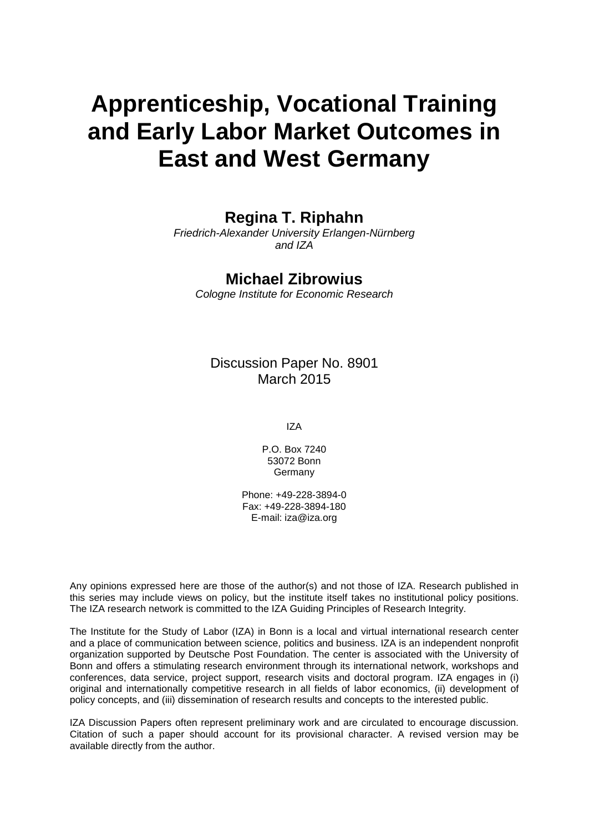# **Apprenticeship, Vocational Training and Early Labor Market Outcomes in East and West Germany**

# **Regina T. Riphahn**

*Friedrich-Alexander University Erlangen-Nürnberg and IZA*

### **Michael Zibrowius**

*Cologne Institute for Economic Research*

Discussion Paper No. 8901 March 2015

IZA

P.O. Box 7240 53072 Bonn Germany

Phone: +49-228-3894-0 Fax: +49-228-3894-180 E-mail: iza@iza.org

Any opinions expressed here are those of the author(s) and not those of IZA. Research published in this series may include views on policy, but the institute itself takes no institutional policy positions. The IZA research network is committed to the IZA Guiding Principles of Research Integrity.

The Institute for the Study of Labor (IZA) in Bonn is a local and virtual international research center and a place of communication between science, politics and business. IZA is an independent nonprofit organization supported by Deutsche Post Foundation. The center is associated with the University of Bonn and offers a stimulating research environment through its international network, workshops and conferences, data service, project support, research visits and doctoral program. IZA engages in (i) original and internationally competitive research in all fields of labor economics, (ii) development of policy concepts, and (iii) dissemination of research results and concepts to the interested public.

<span id="page-1-0"></span>IZA Discussion Papers often represent preliminary work and are circulated to encourage discussion. Citation of such a paper should account for its provisional character. A revised version may be available directly from the author.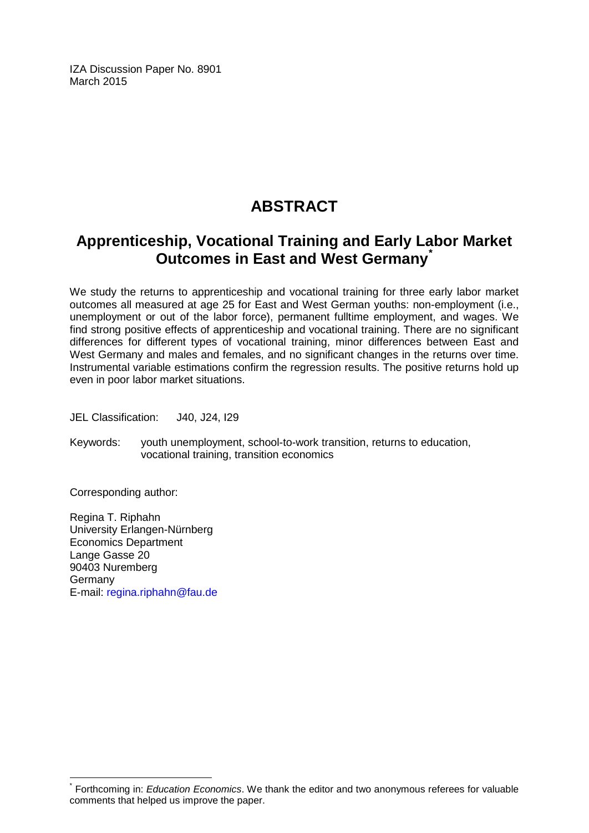IZA Discussion Paper No. 8901 March 2015

# **ABSTRACT**

# **Apprenticeship, Vocational Training and Early Labor Market Outcomes in East and West Germany[\\*](#page-1-0)**

We study the returns to apprenticeship and vocational training for three early labor market outcomes all measured at age 25 for East and West German youths: non-employment (i.e., unemployment or out of the labor force), permanent fulltime employment, and wages. We find strong positive effects of apprenticeship and vocational training. There are no significant differences for different types of vocational training, minor differences between East and West Germany and males and females, and no significant changes in the returns over time. Instrumental variable estimations confirm the regression results. The positive returns hold up even in poor labor market situations.

JEL Classification: J40, J24, I29

Keywords: youth unemployment, school-to-work transition, returns to education, vocational training, transition economics

Corresponding author:

Regina T. Riphahn University Erlangen-Nürnberg Economics Department Lange Gasse 20 90403 Nuremberg Germany E-mail: [regina.riphahn@fau.de](mailto:regina.riphahn@fau.de)

Forthcoming in: *Education Economics*. We thank the editor and two anonymous referees for valuable comments that helped us improve the paper.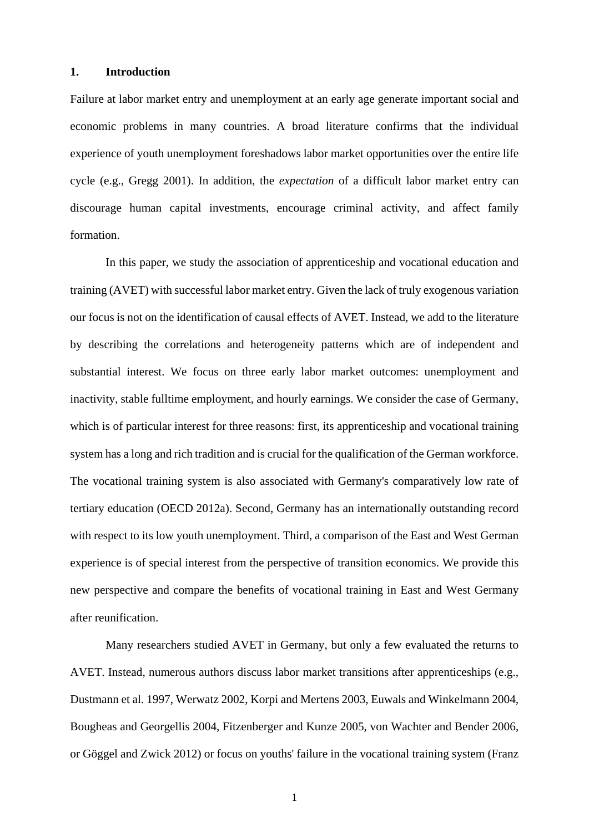#### **1. Introduction**

Failure at labor market entry and unemployment at an early age generate important social and economic problems in many countries. A broad literature confirms that the individual experience of youth unemployment foreshadows labor market opportunities over the entire life cycle (e.g., Gregg 2001). In addition, the *expectation* of a difficult labor market entry can discourage human capital investments, encourage criminal activity, and affect family formation.

 In this paper, we study the association of apprenticeship and vocational education and training (AVET) with successful labor market entry. Given the lack of truly exogenous variation our focus is not on the identification of causal effects of AVET. Instead, we add to the literature by describing the correlations and heterogeneity patterns which are of independent and substantial interest. We focus on three early labor market outcomes: unemployment and inactivity, stable fulltime employment, and hourly earnings. We consider the case of Germany, which is of particular interest for three reasons: first, its apprenticeship and vocational training system has a long and rich tradition and is crucial for the qualification of the German workforce. The vocational training system is also associated with Germany's comparatively low rate of tertiary education (OECD 2012a). Second, Germany has an internationally outstanding record with respect to its low youth unemployment. Third, a comparison of the East and West German experience is of special interest from the perspective of transition economics. We provide this new perspective and compare the benefits of vocational training in East and West Germany after reunification.

 Many researchers studied AVET in Germany, but only a few evaluated the returns to AVET. Instead, numerous authors discuss labor market transitions after apprenticeships (e.g., Dustmann et al. 1997, Werwatz 2002, Korpi and Mertens 2003, Euwals and Winkelmann 2004, Bougheas and Georgellis 2004, Fitzenberger and Kunze 2005, von Wachter and Bender 2006, or Göggel and Zwick 2012) or focus on youths' failure in the vocational training system (Franz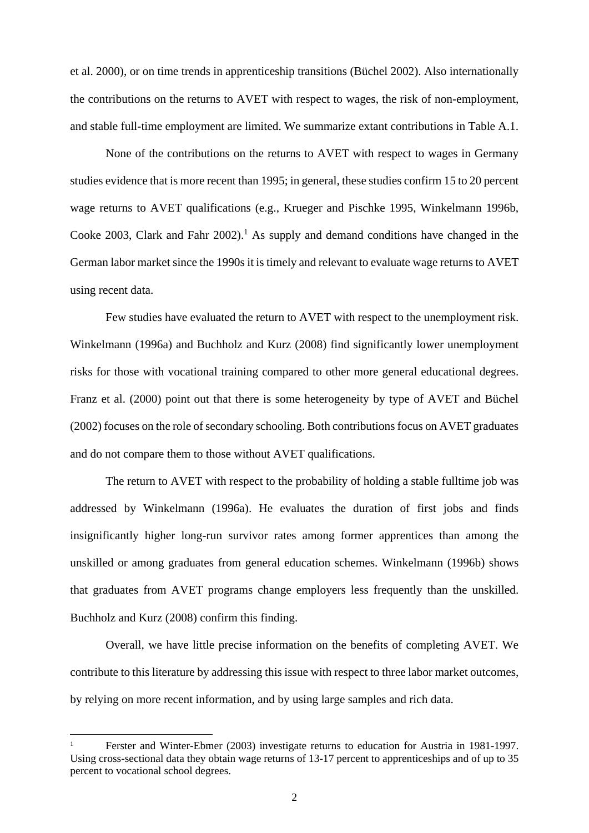et al. 2000), or on time trends in apprenticeship transitions (Büchel 2002). Also internationally the contributions on the returns to AVET with respect to wages, the risk of non-employment, and stable full-time employment are limited. We summarize extant contributions in Table A.1.

None of the contributions on the returns to AVET with respect to wages in Germany studies evidence that is more recent than 1995; in general, these studies confirm 15 to 20 percent wage returns to AVET qualifications (e.g., Krueger and Pischke 1995, Winkelmann 1996b, Cooke 2003, Clark and Fahr  $2002$ ).<sup>1</sup> As supply and demand conditions have changed in the German labor market since the 1990s it is timely and relevant to evaluate wage returns to AVET using recent data.

Few studies have evaluated the return to AVET with respect to the unemployment risk. Winkelmann (1996a) and Buchholz and Kurz (2008) find significantly lower unemployment risks for those with vocational training compared to other more general educational degrees. Franz et al. (2000) point out that there is some heterogeneity by type of AVET and Büchel (2002) focuses on the role of secondary schooling. Both contributions focus on AVET graduates and do not compare them to those without AVET qualifications.

The return to AVET with respect to the probability of holding a stable fulltime job was addressed by Winkelmann (1996a). He evaluates the duration of first jobs and finds insignificantly higher long-run survivor rates among former apprentices than among the unskilled or among graduates from general education schemes. Winkelmann (1996b) shows that graduates from AVET programs change employers less frequently than the unskilled. Buchholz and Kurz (2008) confirm this finding.

Overall, we have little precise information on the benefits of completing AVET. We contribute to this literature by addressing this issue with respect to three labor market outcomes, by relying on more recent information, and by using large samples and rich data.

1

<sup>1</sup> Ferster and Winter-Ebmer (2003) investigate returns to education for Austria in 1981-1997. Using cross-sectional data they obtain wage returns of 13-17 percent to apprenticeships and of up to 35 percent to vocational school degrees.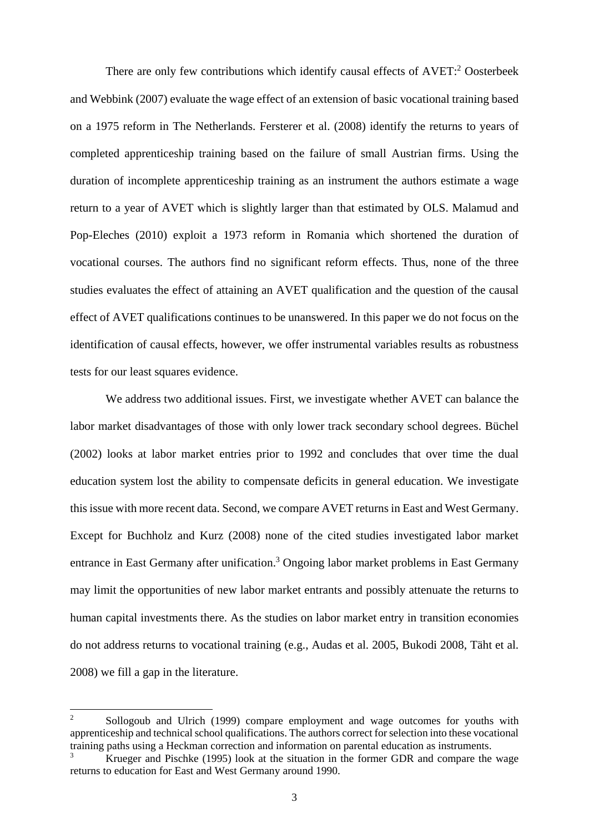There are only few contributions which identify causal effects of AVET:<sup>2</sup> Oosterbeek and Webbink (2007) evaluate the wage effect of an extension of basic vocational training based on a 1975 reform in The Netherlands. Fersterer et al. (2008) identify the returns to years of completed apprenticeship training based on the failure of small Austrian firms. Using the duration of incomplete apprenticeship training as an instrument the authors estimate a wage return to a year of AVET which is slightly larger than that estimated by OLS. Malamud and Pop-Eleches (2010) exploit a 1973 reform in Romania which shortened the duration of vocational courses. The authors find no significant reform effects. Thus, none of the three studies evaluates the effect of attaining an AVET qualification and the question of the causal effect of AVET qualifications continues to be unanswered. In this paper we do not focus on the identification of causal effects, however, we offer instrumental variables results as robustness tests for our least squares evidence.

We address two additional issues. First, we investigate whether AVET can balance the labor market disadvantages of those with only lower track secondary school degrees. Büchel (2002) looks at labor market entries prior to 1992 and concludes that over time the dual education system lost the ability to compensate deficits in general education. We investigate this issue with more recent data. Second, we compare AVET returns in East and West Germany. Except for Buchholz and Kurz (2008) none of the cited studies investigated labor market entrance in East Germany after unification.<sup>3</sup> Ongoing labor market problems in East Germany may limit the opportunities of new labor market entrants and possibly attenuate the returns to human capital investments there. As the studies on labor market entry in transition economies do not address returns to vocational training (e.g., Audas et al. 2005, Bukodi 2008, Täht et al. 2008) we fill a gap in the literature.

-

<sup>2</sup> Sollogoub and Ulrich (1999) compare employment and wage outcomes for youths with apprenticeship and technical school qualifications. The authors correct for selection into these vocational training paths using a Heckman correction and information on parental education as instruments.

<sup>3</sup> Krueger and Pischke (1995) look at the situation in the former GDR and compare the wage returns to education for East and West Germany around 1990.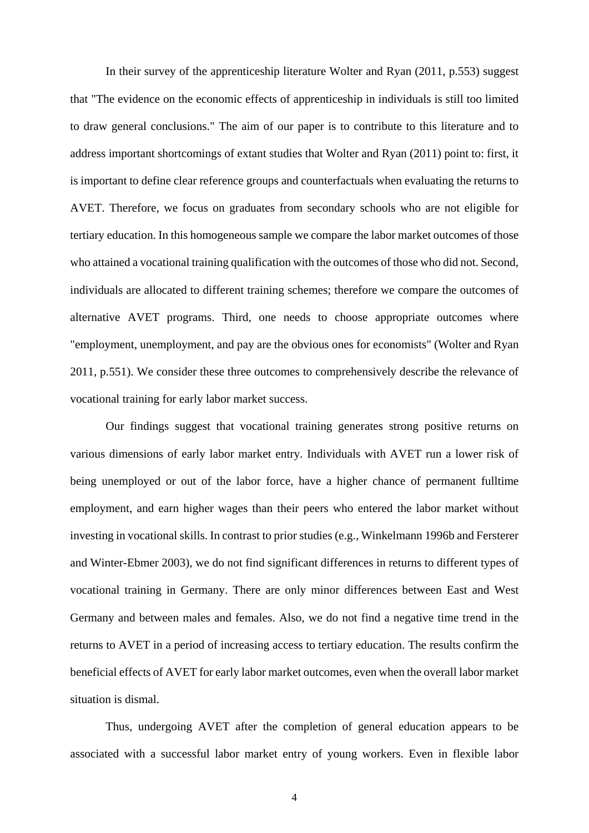In their survey of the apprenticeship literature Wolter and Ryan (2011, p.553) suggest that "The evidence on the economic effects of apprenticeship in individuals is still too limited to draw general conclusions." The aim of our paper is to contribute to this literature and to address important shortcomings of extant studies that Wolter and Ryan (2011) point to: first, it is important to define clear reference groups and counterfactuals when evaluating the returns to AVET. Therefore, we focus on graduates from secondary schools who are not eligible for tertiary education. In this homogeneous sample we compare the labor market outcomes of those who attained a vocational training qualification with the outcomes of those who did not. Second, individuals are allocated to different training schemes; therefore we compare the outcomes of alternative AVET programs. Third, one needs to choose appropriate outcomes where "employment, unemployment, and pay are the obvious ones for economists" (Wolter and Ryan 2011, p.551). We consider these three outcomes to comprehensively describe the relevance of vocational training for early labor market success.

 Our findings suggest that vocational training generates strong positive returns on various dimensions of early labor market entry. Individuals with AVET run a lower risk of being unemployed or out of the labor force, have a higher chance of permanent fulltime employment, and earn higher wages than their peers who entered the labor market without investing in vocational skills. In contrast to prior studies (e.g., Winkelmann 1996b and Fersterer and Winter-Ebmer 2003), we do not find significant differences in returns to different types of vocational training in Germany. There are only minor differences between East and West Germany and between males and females. Also, we do not find a negative time trend in the returns to AVET in a period of increasing access to tertiary education. The results confirm the beneficial effects of AVET for early labor market outcomes, even when the overall labor market situation is dismal.

Thus, undergoing AVET after the completion of general education appears to be associated with a successful labor market entry of young workers. Even in flexible labor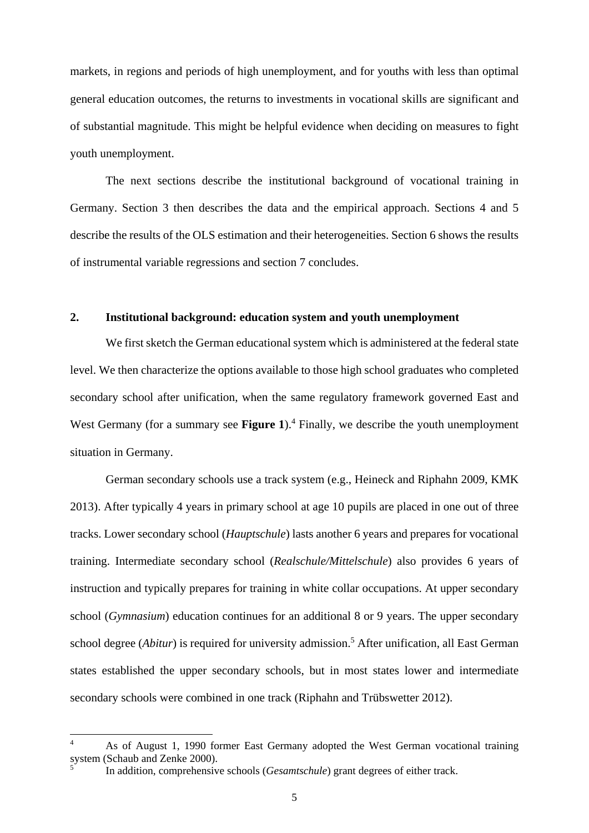markets, in regions and periods of high unemployment, and for youths with less than optimal general education outcomes, the returns to investments in vocational skills are significant and of substantial magnitude. This might be helpful evidence when deciding on measures to fight youth unemployment.

 The next sections describe the institutional background of vocational training in Germany. Section 3 then describes the data and the empirical approach. Sections 4 and 5 describe the results of the OLS estimation and their heterogeneities. Section 6 shows the results of instrumental variable regressions and section 7 concludes.

#### **2. Institutional background: education system and youth unemployment**

We first sketch the German educational system which is administered at the federal state level. We then characterize the options available to those high school graduates who completed secondary school after unification, when the same regulatory framework governed East and West Germany (for a summary see Figure 1).<sup>4</sup> Finally, we describe the youth unemployment situation in Germany.

 German secondary schools use a track system (e.g., Heineck and Riphahn 2009, KMK 2013). After typically 4 years in primary school at age 10 pupils are placed in one out of three tracks. Lower secondary school (*Hauptschule*) lasts another 6 years and prepares for vocational training. Intermediate secondary school (*Realschule/Mittelschule*) also provides 6 years of instruction and typically prepares for training in white collar occupations. At upper secondary school (*Gymnasium*) education continues for an additional 8 or 9 years. The upper secondary school degree (*Abitur*) is required for university admission.<sup>5</sup> After unification, all East German states established the upper secondary schools, but in most states lower and intermediate secondary schools were combined in one track (Riphahn and Trübswetter 2012).

1

<sup>4</sup> As of August 1, 1990 former East Germany adopted the West German vocational training system (Schaub and Zenke 2000). 5

In addition, comprehensive schools (*Gesamtschule*) grant degrees of either track.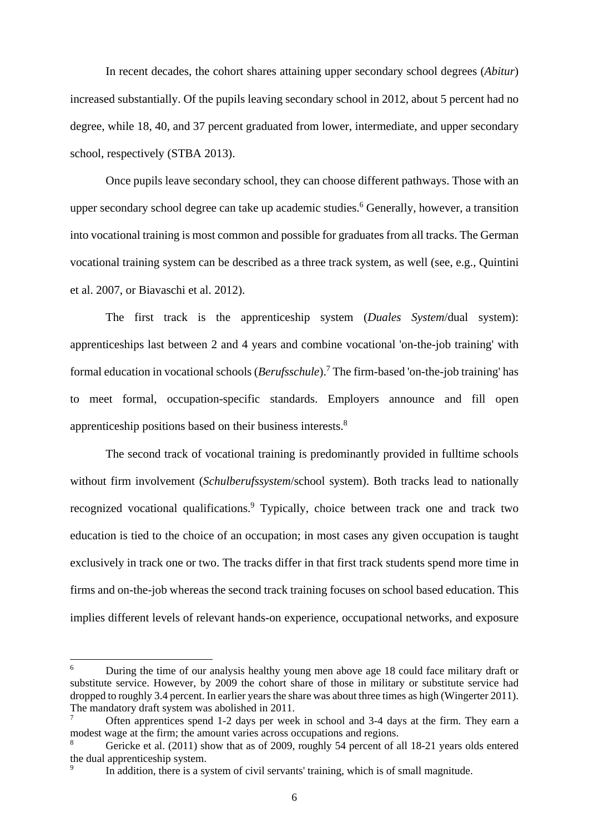In recent decades, the cohort shares attaining upper secondary school degrees (*Abitur*) increased substantially. Of the pupils leaving secondary school in 2012, about 5 percent had no degree, while 18, 40, and 37 percent graduated from lower, intermediate, and upper secondary school, respectively (STBA 2013).

Once pupils leave secondary school, they can choose different pathways. Those with an upper secondary school degree can take up academic studies.<sup>6</sup> Generally, however, a transition into vocational training is most common and possible for graduates from all tracks. The German vocational training system can be described as a three track system, as well (see, e.g., Quintini et al. 2007, or Biavaschi et al. 2012).

The first track is the apprenticeship system (*Duales System*/dual system): apprenticeships last between 2 and 4 years and combine vocational 'on-the-job training' with formal education in vocational schools (*Berufsschule*).<sup>7</sup> The firm-based 'on-the-job training' has to meet formal, occupation-specific standards. Employers announce and fill open apprenticeship positions based on their business interests.<sup>8</sup>

The second track of vocational training is predominantly provided in fulltime schools without firm involvement (*Schulberufssystem*/school system). Both tracks lead to nationally recognized vocational qualifications.<sup>9</sup> Typically, choice between track one and track two education is tied to the choice of an occupation; in most cases any given occupation is taught exclusively in track one or two. The tracks differ in that first track students spend more time in firms and on-the-job whereas the second track training focuses on school based education. This implies different levels of relevant hands-on experience, occupational networks, and exposure

 $\frac{1}{6}$  During the time of our analysis healthy young men above age 18 could face military draft or substitute service. However, by 2009 the cohort share of those in military or substitute service had dropped to roughly 3.4 percent. In earlier years the share was about three times as high (Wingerter 2011). The mandatory draft system was abolished in 2011.

<sup>7</sup> Often apprentices spend 1-2 days per week in school and 3-4 days at the firm. They earn a modest wage at the firm; the amount varies across occupations and regions.

<sup>8</sup> Gericke et al. (2011) show that as of 2009, roughly 54 percent of all 18-21 years olds entered the dual apprenticeship system.

<sup>9</sup> In addition, there is a system of civil servants' training, which is of small magnitude.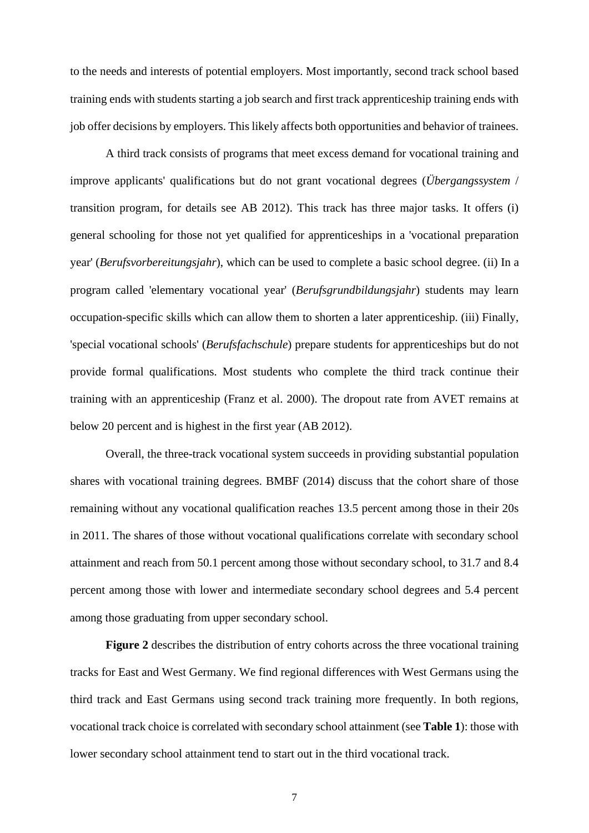to the needs and interests of potential employers. Most importantly, second track school based training ends with students starting a job search and first track apprenticeship training ends with job offer decisions by employers. This likely affects both opportunities and behavior of trainees.

A third track consists of programs that meet excess demand for vocational training and improve applicants' qualifications but do not grant vocational degrees (*Übergangssystem* / transition program, for details see AB 2012). This track has three major tasks. It offers (i) general schooling for those not yet qualified for apprenticeships in a 'vocational preparation year' (*Berufsvorbereitungsjahr*), which can be used to complete a basic school degree. (ii) In a program called 'elementary vocational year' (*Berufsgrundbildungsjahr*) students may learn occupation-specific skills which can allow them to shorten a later apprenticeship. (iii) Finally, 'special vocational schools' (*Berufsfachschule*) prepare students for apprenticeships but do not provide formal qualifications. Most students who complete the third track continue their training with an apprenticeship (Franz et al. 2000). The dropout rate from AVET remains at below 20 percent and is highest in the first year (AB 2012).

Overall, the three-track vocational system succeeds in providing substantial population shares with vocational training degrees. BMBF (2014) discuss that the cohort share of those remaining without any vocational qualification reaches 13.5 percent among those in their 20s in 2011. The shares of those without vocational qualifications correlate with secondary school attainment and reach from 50.1 percent among those without secondary school, to 31.7 and 8.4 percent among those with lower and intermediate secondary school degrees and 5.4 percent among those graduating from upper secondary school.

**Figure 2** describes the distribution of entry cohorts across the three vocational training tracks for East and West Germany. We find regional differences with West Germans using the third track and East Germans using second track training more frequently. In both regions, vocational track choice is correlated with secondary school attainment (see **Table 1**): those with lower secondary school attainment tend to start out in the third vocational track.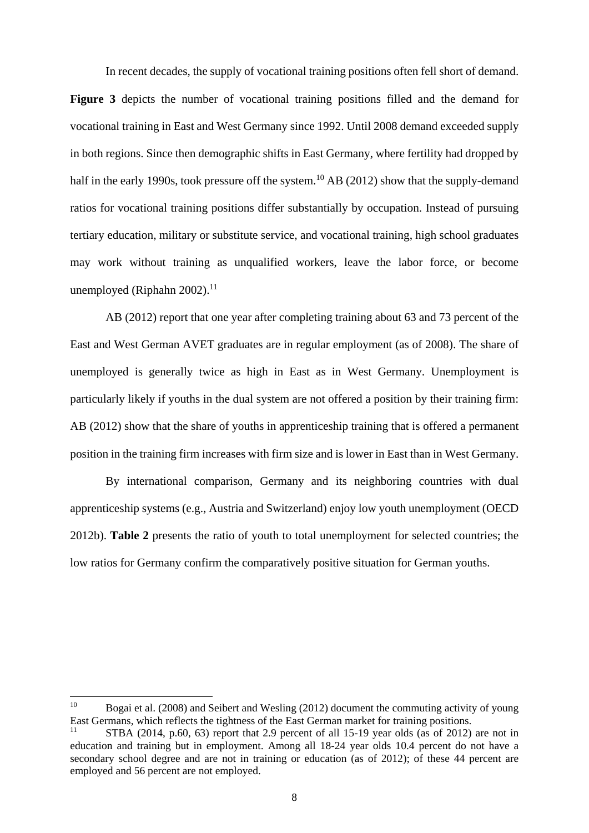In recent decades, the supply of vocational training positions often fell short of demand.

**Figure 3** depicts the number of vocational training positions filled and the demand for vocational training in East and West Germany since 1992. Until 2008 demand exceeded supply in both regions. Since then demographic shifts in East Germany, where fertility had dropped by half in the early 1990s, took pressure off the system.<sup>10</sup> AB (2012) show that the supply-demand ratios for vocational training positions differ substantially by occupation. Instead of pursuing tertiary education, military or substitute service, and vocational training, high school graduates may work without training as unqualified workers, leave the labor force, or become unemployed (Riphahn  $2002$ ).<sup>11</sup>

 AB (2012) report that one year after completing training about 63 and 73 percent of the East and West German AVET graduates are in regular employment (as of 2008). The share of unemployed is generally twice as high in East as in West Germany. Unemployment is particularly likely if youths in the dual system are not offered a position by their training firm: AB (2012) show that the share of youths in apprenticeship training that is offered a permanent position in the training firm increases with firm size and is lower in East than in West Germany.

 By international comparison, Germany and its neighboring countries with dual apprenticeship systems (e.g., Austria and Switzerland) enjoy low youth unemployment (OECD 2012b). **Table 2** presents the ratio of youth to total unemployment for selected countries; the low ratios for Germany confirm the comparatively positive situation for German youths.

1

<sup>&</sup>lt;sup>10</sup> Bogai et al. (2008) and Seibert and Wesling (2012) document the commuting activity of young East Germans, which reflects the tightness of the East German market for training positions.

STBA (2014, p.60, 63) report that 2.9 percent of all 15-19 year olds (as of 2012) are not in education and training but in employment. Among all 18-24 year olds 10.4 percent do not have a secondary school degree and are not in training or education (as of 2012); of these 44 percent are employed and 56 percent are not employed.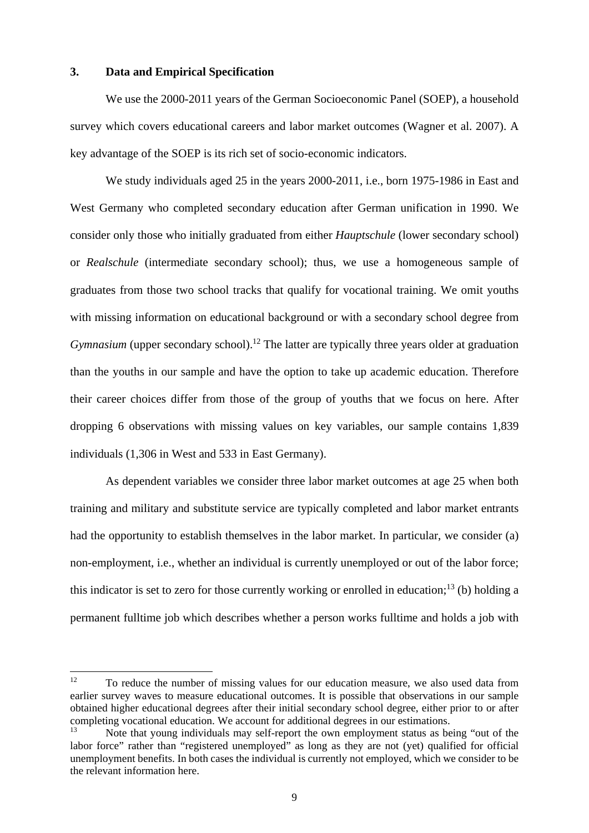#### **3. Data and Empirical Specification**

We use the 2000-2011 years of the German Socioeconomic Panel (SOEP), a household survey which covers educational careers and labor market outcomes (Wagner et al. 2007). A key advantage of the SOEP is its rich set of socio-economic indicators.

We study individuals aged 25 in the years 2000-2011, i.e., born 1975-1986 in East and West Germany who completed secondary education after German unification in 1990. We consider only those who initially graduated from either *Hauptschule* (lower secondary school) or *Realschule* (intermediate secondary school); thus, we use a homogeneous sample of graduates from those two school tracks that qualify for vocational training. We omit youths with missing information on educational background or with a secondary school degree from *Gymnasium* (upper secondary school).<sup>12</sup> The latter are typically three years older at graduation than the youths in our sample and have the option to take up academic education. Therefore their career choices differ from those of the group of youths that we focus on here. After dropping 6 observations with missing values on key variables, our sample contains 1,839 individuals (1,306 in West and 533 in East Germany).

As dependent variables we consider three labor market outcomes at age 25 when both training and military and substitute service are typically completed and labor market entrants had the opportunity to establish themselves in the labor market. In particular, we consider (a) non-employment, i.e., whether an individual is currently unemployed or out of the labor force; this indicator is set to zero for those currently working or enrolled in education;<sup>13</sup> (b) holding a permanent fulltime job which describes whether a person works fulltime and holds a job with

 $12$ 12 To reduce the number of missing values for our education measure, we also used data from earlier survey waves to measure educational outcomes. It is possible that observations in our sample obtained higher educational degrees after their initial secondary school degree, either prior to or after completing vocational education. We account for additional degrees in our estimations.

Note that young individuals may self-report the own employment status as being "out of the labor force" rather than "registered unemployed" as long as they are not (yet) qualified for official unemployment benefits. In both cases the individual is currently not employed, which we consider to be the relevant information here.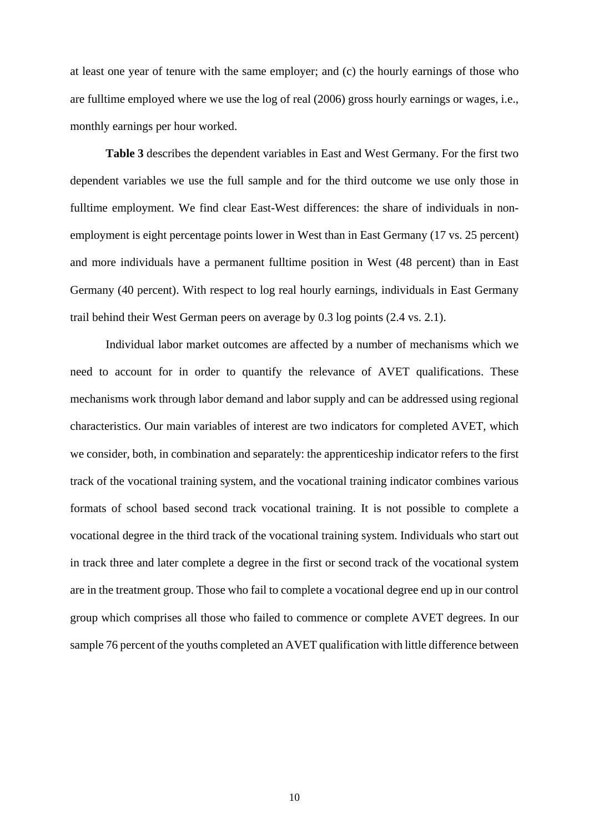at least one year of tenure with the same employer; and (c) the hourly earnings of those who are fulltime employed where we use the log of real (2006) gross hourly earnings or wages, i.e., monthly earnings per hour worked.

**Table 3** describes the dependent variables in East and West Germany. For the first two dependent variables we use the full sample and for the third outcome we use only those in fulltime employment. We find clear East-West differences: the share of individuals in nonemployment is eight percentage points lower in West than in East Germany (17 vs. 25 percent) and more individuals have a permanent fulltime position in West (48 percent) than in East Germany (40 percent). With respect to log real hourly earnings, individuals in East Germany trail behind their West German peers on average by 0.3 log points (2.4 vs. 2.1).

Individual labor market outcomes are affected by a number of mechanisms which we need to account for in order to quantify the relevance of AVET qualifications. These mechanisms work through labor demand and labor supply and can be addressed using regional characteristics. Our main variables of interest are two indicators for completed AVET, which we consider, both, in combination and separately: the apprenticeship indicator refers to the first track of the vocational training system, and the vocational training indicator combines various formats of school based second track vocational training. It is not possible to complete a vocational degree in the third track of the vocational training system. Individuals who start out in track three and later complete a degree in the first or second track of the vocational system are in the treatment group. Those who fail to complete a vocational degree end up in our control group which comprises all those who failed to commence or complete AVET degrees. In our sample 76 percent of the youths completed an AVET qualification with little difference between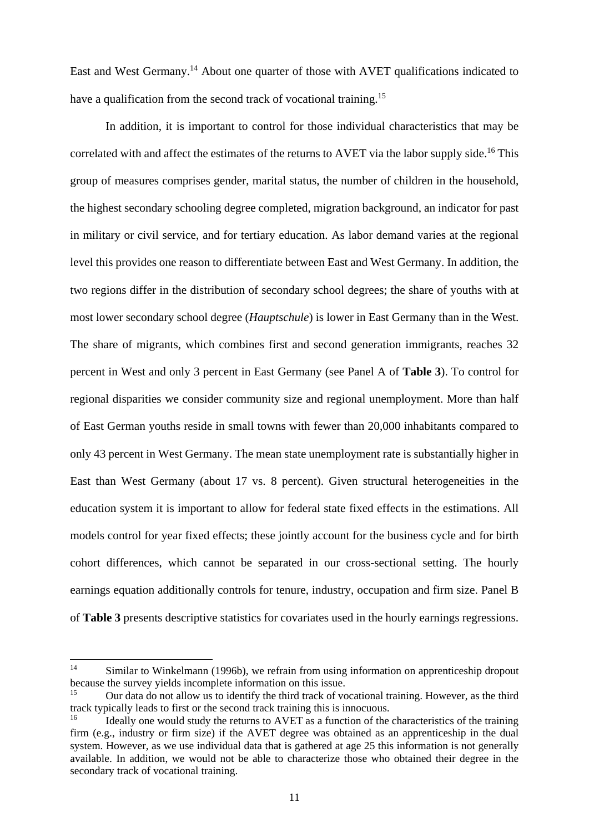East and West Germany.14 About one quarter of those with AVET qualifications indicated to have a qualification from the second track of vocational training.<sup>15</sup>

In addition, it is important to control for those individual characteristics that may be correlated with and affect the estimates of the returns to AVET via the labor supply side.<sup>16</sup> This group of measures comprises gender, marital status, the number of children in the household, the highest secondary schooling degree completed, migration background, an indicator for past in military or civil service, and for tertiary education. As labor demand varies at the regional level this provides one reason to differentiate between East and West Germany. In addition, the two regions differ in the distribution of secondary school degrees; the share of youths with at most lower secondary school degree (*Hauptschule*) is lower in East Germany than in the West. The share of migrants, which combines first and second generation immigrants, reaches 32 percent in West and only 3 percent in East Germany (see Panel A of **Table 3**). To control for regional disparities we consider community size and regional unemployment. More than half of East German youths reside in small towns with fewer than 20,000 inhabitants compared to only 43 percent in West Germany. The mean state unemployment rate is substantially higher in East than West Germany (about 17 vs. 8 percent). Given structural heterogeneities in the education system it is important to allow for federal state fixed effects in the estimations. All models control for year fixed effects; these jointly account for the business cycle and for birth cohort differences, which cannot be separated in our cross-sectional setting. The hourly earnings equation additionally controls for tenure, industry, occupation and firm size. Panel B of **Table 3** presents descriptive statistics for covariates used in the hourly earnings regressions.

 $14$ Similar to Winkelmann (1996b), we refrain from using information on apprenticeship dropout because the survey yields incomplete information on this issue.

<sup>&</sup>lt;sup>15</sup> Our data do not allow us to identify the third track of vocational training. However, as the third track typically leads to first or the second track training this is innocuous.

<sup>16</sup> Ideally one would study the returns to AVET as a function of the characteristics of the training firm (e.g., industry or firm size) if the AVET degree was obtained as an apprenticeship in the dual system. However, as we use individual data that is gathered at age 25 this information is not generally available. In addition, we would not be able to characterize those who obtained their degree in the secondary track of vocational training.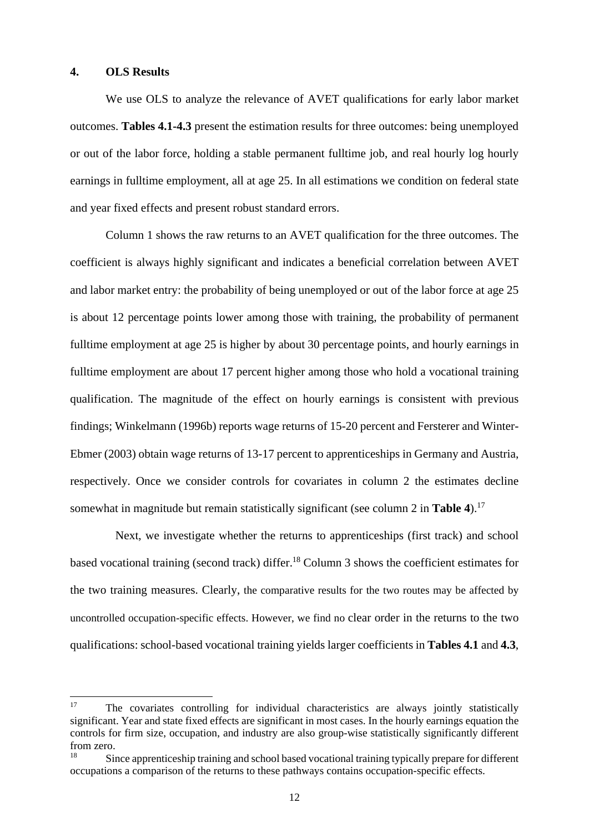#### **4. OLS Results**

1

 We use OLS to analyze the relevance of AVET qualifications for early labor market outcomes. **Tables 4.1-4.3** present the estimation results for three outcomes: being unemployed or out of the labor force, holding a stable permanent fulltime job, and real hourly log hourly earnings in fulltime employment, all at age 25. In all estimations we condition on federal state and year fixed effects and present robust standard errors.

 Column 1 shows the raw returns to an AVET qualification for the three outcomes. The coefficient is always highly significant and indicates a beneficial correlation between AVET and labor market entry: the probability of being unemployed or out of the labor force at age 25 is about 12 percentage points lower among those with training, the probability of permanent fulltime employment at age 25 is higher by about 30 percentage points, and hourly earnings in fulltime employment are about 17 percent higher among those who hold a vocational training qualification. The magnitude of the effect on hourly earnings is consistent with previous findings; Winkelmann (1996b) reports wage returns of 15-20 percent and Fersterer and Winter-Ebmer (2003) obtain wage returns of 13-17 percent to apprenticeships in Germany and Austria, respectively. Once we consider controls for covariates in column 2 the estimates decline somewhat in magnitude but remain statistically significant (see column 2 in **Table 4**).17

 Next, we investigate whether the returns to apprenticeships (first track) and school based vocational training (second track) differ.18 Column 3 shows the coefficient estimates for the two training measures. Clearly, the comparative results for the two routes may be affected by uncontrolled occupation-specific effects. However, we find no clear order in the returns to the two qualifications: school-based vocational training yields larger coefficients in **Tables 4.1** and **4.3**,

The covariates controlling for individual characteristics are always jointly statistically significant. Year and state fixed effects are significant in most cases. In the hourly earnings equation the controls for firm size, occupation, and industry are also group-wise statistically significantly different from zero.

<sup>18</sup> Since apprenticeship training and school based vocational training typically prepare for different occupations a comparison of the returns to these pathways contains occupation-specific effects.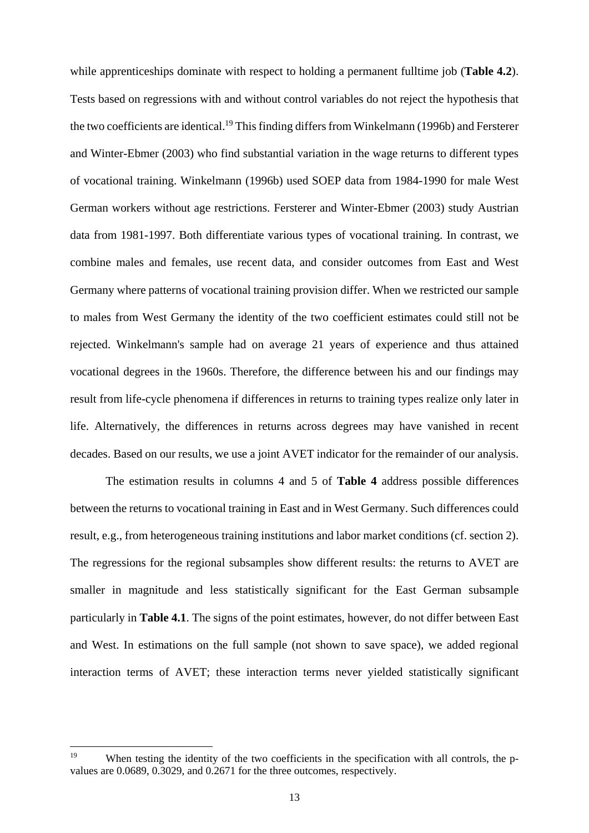while apprenticeships dominate with respect to holding a permanent fulltime job (**Table 4.2**). Tests based on regressions with and without control variables do not reject the hypothesis that the two coefficients are identical.<sup>19</sup> This finding differs from Winkelmann (1996b) and Fersterer and Winter-Ebmer (2003) who find substantial variation in the wage returns to different types of vocational training. Winkelmann (1996b) used SOEP data from 1984-1990 for male West German workers without age restrictions. Fersterer and Winter-Ebmer (2003) study Austrian data from 1981-1997. Both differentiate various types of vocational training. In contrast, we combine males and females, use recent data, and consider outcomes from East and West Germany where patterns of vocational training provision differ. When we restricted our sample to males from West Germany the identity of the two coefficient estimates could still not be rejected. Winkelmann's sample had on average 21 years of experience and thus attained vocational degrees in the 1960s. Therefore, the difference between his and our findings may result from life-cycle phenomena if differences in returns to training types realize only later in life. Alternatively, the differences in returns across degrees may have vanished in recent decades. Based on our results, we use a joint AVET indicator for the remainder of our analysis.

 The estimation results in columns 4 and 5 of **Table 4** address possible differences between the returns to vocational training in East and in West Germany. Such differences could result, e.g., from heterogeneous training institutions and labor market conditions (cf. section 2). The regressions for the regional subsamples show different results: the returns to AVET are smaller in magnitude and less statistically significant for the East German subsample particularly in **Table 4.1**. The signs of the point estimates, however, do not differ between East and West. In estimations on the full sample (not shown to save space), we added regional interaction terms of AVET; these interaction terms never yielded statistically significant

<sup>19</sup> When testing the identity of the two coefficients in the specification with all controls, the pvalues are 0.0689, 0.3029, and 0.2671 for the three outcomes, respectively.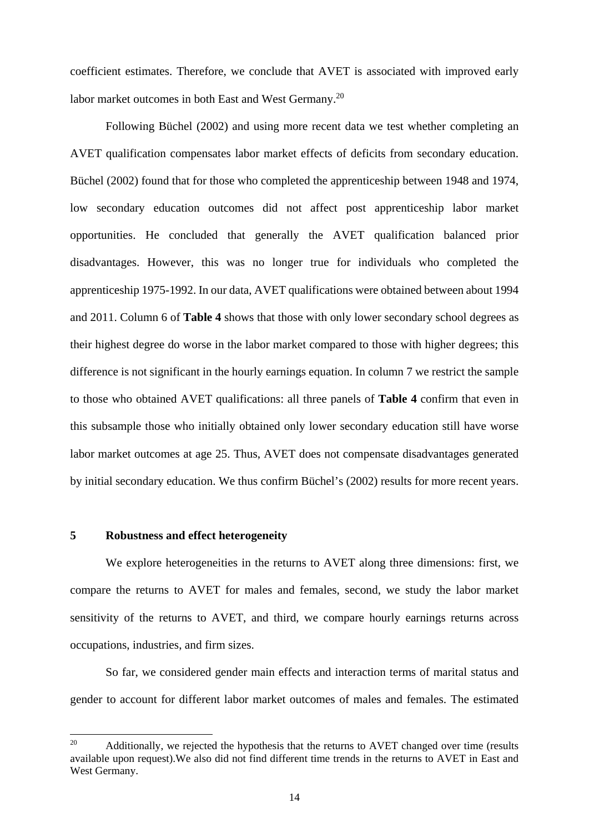coefficient estimates. Therefore, we conclude that AVET is associated with improved early labor market outcomes in both East and West Germany.20

Following Büchel (2002) and using more recent data we test whether completing an AVET qualification compensates labor market effects of deficits from secondary education. Büchel (2002) found that for those who completed the apprenticeship between 1948 and 1974, low secondary education outcomes did not affect post apprenticeship labor market opportunities. He concluded that generally the AVET qualification balanced prior disadvantages. However, this was no longer true for individuals who completed the apprenticeship 1975-1992. In our data, AVET qualifications were obtained between about 1994 and 2011. Column 6 of **Table 4** shows that those with only lower secondary school degrees as their highest degree do worse in the labor market compared to those with higher degrees; this difference is not significant in the hourly earnings equation. In column 7 we restrict the sample to those who obtained AVET qualifications: all three panels of **Table 4** confirm that even in this subsample those who initially obtained only lower secondary education still have worse labor market outcomes at age 25. Thus, AVET does not compensate disadvantages generated by initial secondary education. We thus confirm Büchel's (2002) results for more recent years.

#### **5 Robustness and effect heterogeneity**

 We explore heterogeneities in the returns to AVET along three dimensions: first, we compare the returns to AVET for males and females, second, we study the labor market sensitivity of the returns to AVET, and third, we compare hourly earnings returns across occupations, industries, and firm sizes.

 So far, we considered gender main effects and interaction terms of marital status and gender to account for different labor market outcomes of males and females. The estimated

 $20\degree$ Additionally, we rejected the hypothesis that the returns to AVET changed over time (results available upon request).We also did not find different time trends in the returns to AVET in East and West Germany.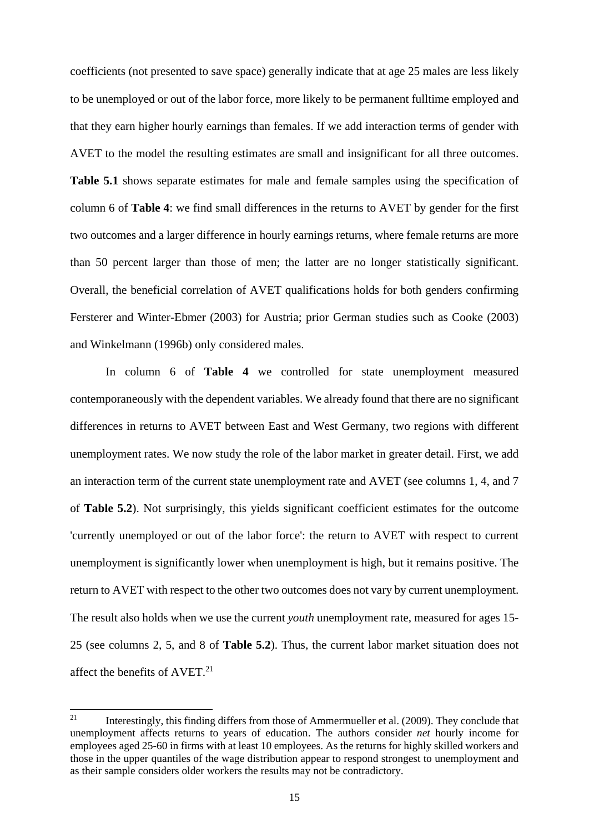coefficients (not presented to save space) generally indicate that at age 25 males are less likely to be unemployed or out of the labor force, more likely to be permanent fulltime employed and that they earn higher hourly earnings than females. If we add interaction terms of gender with AVET to the model the resulting estimates are small and insignificant for all three outcomes. **Table 5.1** shows separate estimates for male and female samples using the specification of column 6 of **Table 4**: we find small differences in the returns to AVET by gender for the first two outcomes and a larger difference in hourly earnings returns, where female returns are more than 50 percent larger than those of men; the latter are no longer statistically significant. Overall, the beneficial correlation of AVET qualifications holds for both genders confirming Fersterer and Winter-Ebmer (2003) for Austria; prior German studies such as Cooke (2003) and Winkelmann (1996b) only considered males.

 In column 6 of **Table 4** we controlled for state unemployment measured contemporaneously with the dependent variables. We already found that there are no significant differences in returns to AVET between East and West Germany, two regions with different unemployment rates. We now study the role of the labor market in greater detail. First, we add an interaction term of the current state unemployment rate and AVET (see columns 1, 4, and 7 of **Table 5.2**). Not surprisingly, this yields significant coefficient estimates for the outcome 'currently unemployed or out of the labor force': the return to AVET with respect to current unemployment is significantly lower when unemployment is high, but it remains positive. The return to AVET with respect to the other two outcomes does not vary by current unemployment. The result also holds when we use the current *youth* unemployment rate, measured for ages 15- 25 (see columns 2, 5, and 8 of **Table 5.2**). Thus, the current labor market situation does not affect the benefits of AVET.<sup>21</sup>

<sup>21</sup> 21 Interestingly, this finding differs from those of Ammermueller et al. (2009). They conclude that unemployment affects returns to years of education. The authors consider *net* hourly income for employees aged 25-60 in firms with at least 10 employees. As the returns for highly skilled workers and those in the upper quantiles of the wage distribution appear to respond strongest to unemployment and as their sample considers older workers the results may not be contradictory.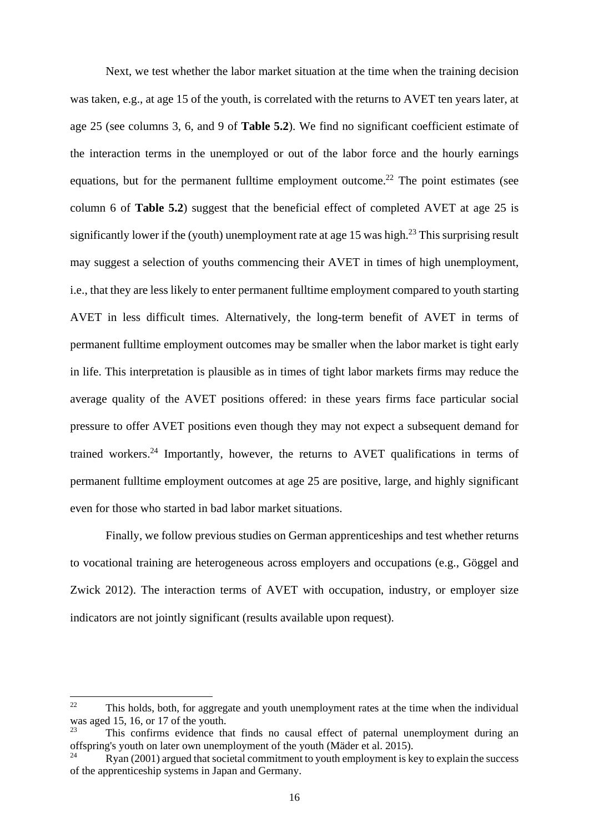Next, we test whether the labor market situation at the time when the training decision was taken, e.g., at age 15 of the youth, is correlated with the returns to AVET ten years later, at age 25 (see columns 3, 6, and 9 of **Table 5.2**). We find no significant coefficient estimate of the interaction terms in the unemployed or out of the labor force and the hourly earnings equations, but for the permanent fulltime employment outcome.<sup>22</sup> The point estimates (see column 6 of **Table 5.2**) suggest that the beneficial effect of completed AVET at age 25 is significantly lower if the (youth) unemployment rate at age 15 was high.<sup>23</sup> This surprising result may suggest a selection of youths commencing their AVET in times of high unemployment, i.e., that they are less likely to enter permanent fulltime employment compared to youth starting AVET in less difficult times. Alternatively, the long-term benefit of AVET in terms of permanent fulltime employment outcomes may be smaller when the labor market is tight early in life. This interpretation is plausible as in times of tight labor markets firms may reduce the average quality of the AVET positions offered: in these years firms face particular social pressure to offer AVET positions even though they may not expect a subsequent demand for trained workers.<sup>24</sup> Importantly, however, the returns to AVET qualifications in terms of permanent fulltime employment outcomes at age 25 are positive, large, and highly significant even for those who started in bad labor market situations.

 Finally, we follow previous studies on German apprenticeships and test whether returns to vocational training are heterogeneous across employers and occupations (e.g., Göggel and Zwick 2012). The interaction terms of AVET with occupation, industry, or employer size indicators are not jointly significant (results available upon request).

1

 $22$  This holds, both, for aggregate and youth unemployment rates at the time when the individual was aged 15, 16, or 17 of the youth.

<sup>23</sup> This confirms evidence that finds no causal effect of paternal unemployment during an offspring's youth on later own unemployment of the youth (Mäder et al. 2015).

<sup>24</sup> Ryan (2001) argued that societal commitment to youth employment is key to explain the success of the apprenticeship systems in Japan and Germany.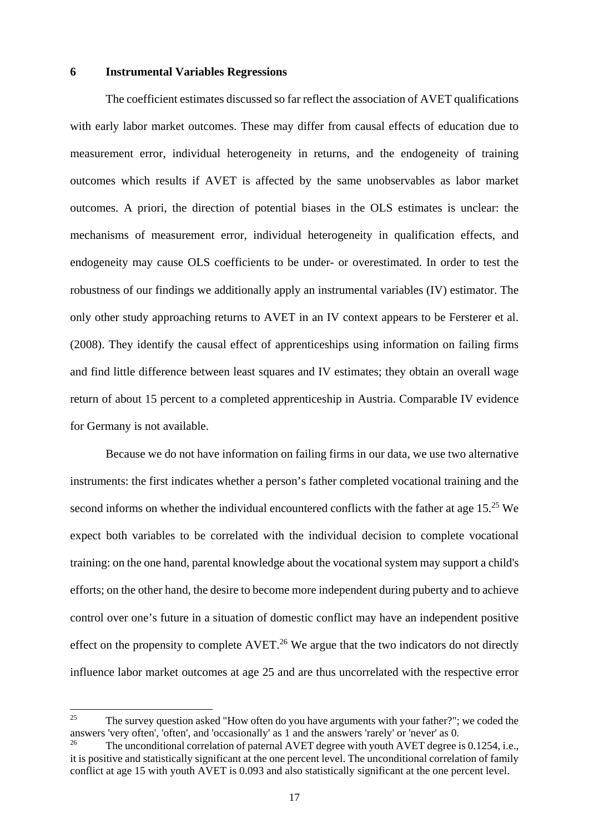#### **6 Instrumental Variables Regressions**

The coefficient estimates discussed so far reflect the association of AVET qualifications with early labor market outcomes. These may differ from causal effects of education due to measurement error, individual heterogeneity in returns, and the endogeneity of training outcomes which results if AVET is affected by the same unobservables as labor market outcomes. A priori, the direction of potential biases in the OLS estimates is unclear: the mechanisms of measurement error, individual heterogeneity in qualification effects, and endogeneity may cause OLS coefficients to be under- or overestimated. In order to test the robustness of our findings we additionally apply an instrumental variables (IV) estimator. The only other study approaching returns to AVET in an IV context appears to be Fersterer et al. (2008). They identify the causal effect of apprenticeships using information on failing firms and find little difference between least squares and IV estimates; they obtain an overall wage return of about 15 percent to a completed apprenticeship in Austria. Comparable IV evidence for Germany is not available.

Because we do not have information on failing firms in our data, we use two alternative instruments: the first indicates whether a person's father completed vocational training and the second informs on whether the individual encountered conflicts with the father at age  $15<sup>25</sup>$  We expect both variables to be correlated with the individual decision to complete vocational training: on the one hand, parental knowledge about the vocational system may support a child's efforts; on the other hand, the desire to become more independent during puberty and to achieve control over one's future in a situation of domestic conflict may have an independent positive effect on the propensity to complete  $AVERT<sup>26</sup>$  We argue that the two indicators do not directly influence labor market outcomes at age 25 and are thus uncorrelated with the respective error

-

<sup>&</sup>lt;sup>25</sup> The survey question asked "How often do you have arguments with your father?"; we coded the answers 'very often', 'often', and 'occasionally' as 1 and the answers 'rarely' or 'never' as 0.

The unconditional correlation of paternal AVET degree with youth AVET degree is 0.1254, i.e., it is positive and statistically significant at the one percent level. The unconditional correlation of family conflict at age 15 with youth AVET is 0.093 and also statistically significant at the one percent level.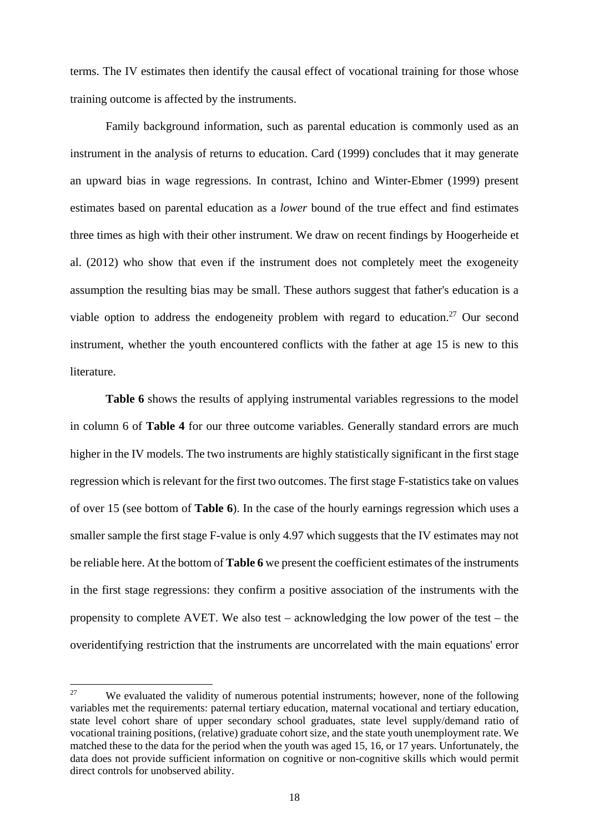terms. The IV estimates then identify the causal effect of vocational training for those whose training outcome is affected by the instruments.

Family background information, such as parental education is commonly used as an instrument in the analysis of returns to education. Card (1999) concludes that it may generate an upward bias in wage regressions. In contrast, Ichino and Winter-Ebmer (1999) present estimates based on parental education as a *lower* bound of the true effect and find estimates three times as high with their other instrument. We draw on recent findings by Hoogerheide et al. (2012) who show that even if the instrument does not completely meet the exogeneity assumption the resulting bias may be small. These authors suggest that father's education is a viable option to address the endogeneity problem with regard to education.<sup>27</sup> Our second instrument, whether the youth encountered conflicts with the father at age 15 is new to this literature.

**Table 6** shows the results of applying instrumental variables regressions to the model in column 6 of **Table 4** for our three outcome variables. Generally standard errors are much higher in the IV models. The two instruments are highly statistically significant in the first stage regression which is relevant for the first two outcomes. The first stage F-statistics take on values of over 15 (see bottom of **Table 6**). In the case of the hourly earnings regression which uses a smaller sample the first stage F-value is only 4.97 which suggests that the IV estimates may not be reliable here. At the bottom of **Table 6** we present the coefficient estimates of the instruments in the first stage regressions: they confirm a positive association of the instruments with the propensity to complete AVET. We also test – acknowledging the low power of the test – the overidentifying restriction that the instruments are uncorrelated with the main equations' error

 $27$ We evaluated the validity of numerous potential instruments; however, none of the following variables met the requirements: paternal tertiary education, maternal vocational and tertiary education, state level cohort share of upper secondary school graduates, state level supply/demand ratio of vocational training positions, (relative) graduate cohort size, and the state youth unemployment rate. We matched these to the data for the period when the youth was aged 15, 16, or 17 years. Unfortunately, the data does not provide sufficient information on cognitive or non-cognitive skills which would permit direct controls for unobserved ability.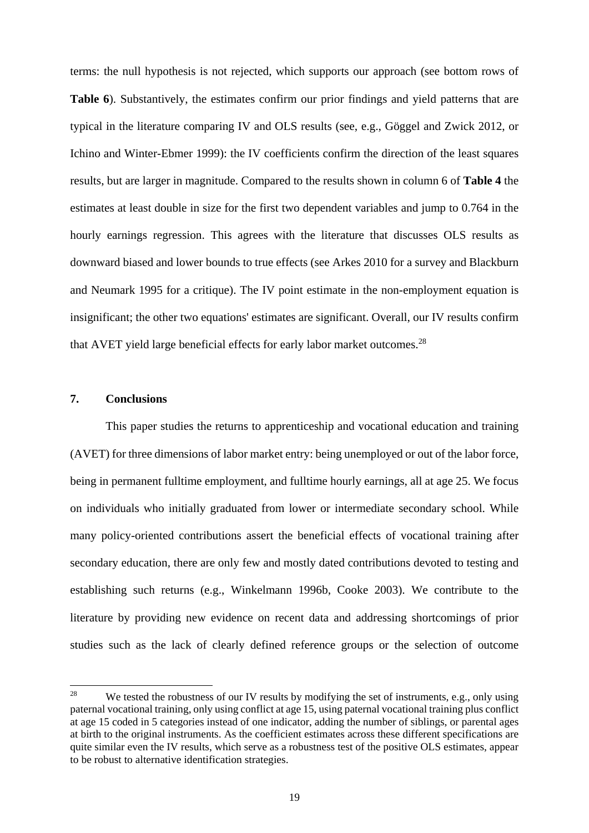terms: the null hypothesis is not rejected, which supports our approach (see bottom rows of **Table 6**). Substantively, the estimates confirm our prior findings and yield patterns that are typical in the literature comparing IV and OLS results (see, e.g., Göggel and Zwick 2012, or Ichino and Winter-Ebmer 1999): the IV coefficients confirm the direction of the least squares results, but are larger in magnitude. Compared to the results shown in column 6 of **Table 4** the estimates at least double in size for the first two dependent variables and jump to 0.764 in the hourly earnings regression. This agrees with the literature that discusses OLS results as downward biased and lower bounds to true effects (see Arkes 2010 for a survey and Blackburn and Neumark 1995 for a critique). The IV point estimate in the non-employment equation is insignificant; the other two equations' estimates are significant. Overall, our IV results confirm that AVET yield large beneficial effects for early labor market outcomes.28

#### **7. Conclusions**

 This paper studies the returns to apprenticeship and vocational education and training (AVET) for three dimensions of labor market entry: being unemployed or out of the labor force, being in permanent fulltime employment, and fulltime hourly earnings, all at age 25. We focus on individuals who initially graduated from lower or intermediate secondary school. While many policy-oriented contributions assert the beneficial effects of vocational training after secondary education, there are only few and mostly dated contributions devoted to testing and establishing such returns (e.g., Winkelmann 1996b, Cooke 2003). We contribute to the literature by providing new evidence on recent data and addressing shortcomings of prior studies such as the lack of clearly defined reference groups or the selection of outcome

 $28$ We tested the robustness of our IV results by modifying the set of instruments, e.g., only using paternal vocational training, only using conflict at age 15, using paternal vocational training plus conflict at age 15 coded in 5 categories instead of one indicator, adding the number of siblings, or parental ages at birth to the original instruments. As the coefficient estimates across these different specifications are quite similar even the IV results, which serve as a robustness test of the positive OLS estimates, appear to be robust to alternative identification strategies.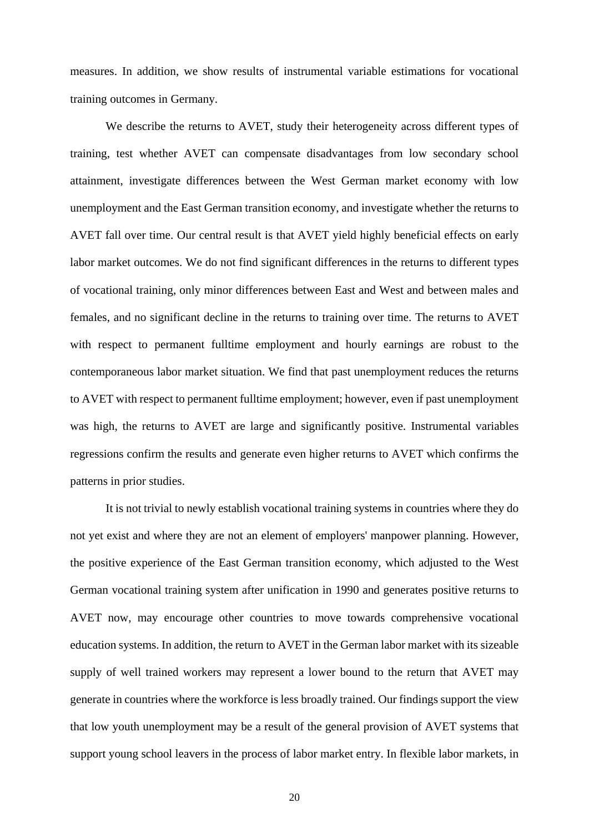measures. In addition, we show results of instrumental variable estimations for vocational training outcomes in Germany.

 We describe the returns to AVET, study their heterogeneity across different types of training, test whether AVET can compensate disadvantages from low secondary school attainment, investigate differences between the West German market economy with low unemployment and the East German transition economy, and investigate whether the returns to AVET fall over time. Our central result is that AVET yield highly beneficial effects on early labor market outcomes. We do not find significant differences in the returns to different types of vocational training, only minor differences between East and West and between males and females, and no significant decline in the returns to training over time. The returns to AVET with respect to permanent fulltime employment and hourly earnings are robust to the contemporaneous labor market situation. We find that past unemployment reduces the returns to AVET with respect to permanent fulltime employment; however, even if past unemployment was high, the returns to AVET are large and significantly positive. Instrumental variables regressions confirm the results and generate even higher returns to AVET which confirms the patterns in prior studies.

 It is not trivial to newly establish vocational training systems in countries where they do not yet exist and where they are not an element of employers' manpower planning. However, the positive experience of the East German transition economy, which adjusted to the West German vocational training system after unification in 1990 and generates positive returns to AVET now, may encourage other countries to move towards comprehensive vocational education systems. In addition, the return to AVET in the German labor market with its sizeable supply of well trained workers may represent a lower bound to the return that AVET may generate in countries where the workforce is less broadly trained. Our findings support the view that low youth unemployment may be a result of the general provision of AVET systems that support young school leavers in the process of labor market entry. In flexible labor markets, in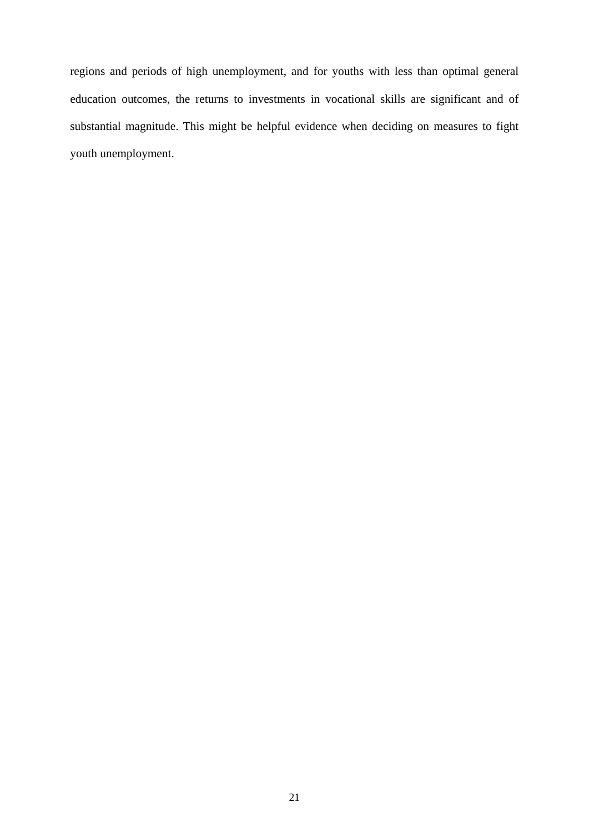regions and periods of high unemployment, and for youths with less than optimal general education outcomes, the returns to investments in vocational skills are significant and of substantial magnitude. This might be helpful evidence when deciding on measures to fight youth unemployment.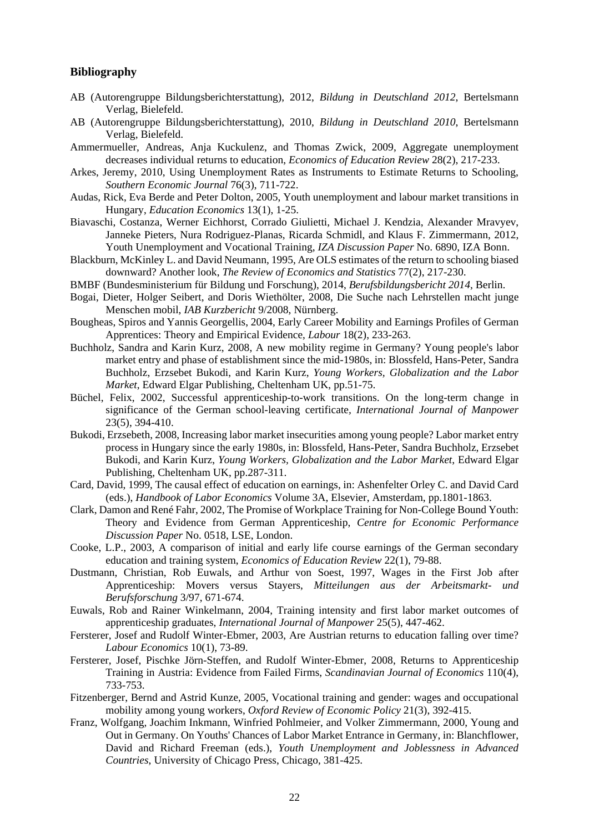#### **Bibliography**

- AB (Autorengruppe Bildungsberichterstattung), 2012, *Bildung in Deutschland 2012*, Bertelsmann Verlag, Bielefeld.
- AB (Autorengruppe Bildungsberichterstattung), 2010, *Bildung in Deutschland 2010*, Bertelsmann Verlag, Bielefeld.
- Ammermueller, Andreas, Anja Kuckulenz, and Thomas Zwick, 2009, Aggregate unemployment decreases individual returns to education, *Economics of Education Review* 28(2), 217-233.
- Arkes, Jeremy, 2010, Using Unemployment Rates as Instruments to Estimate Returns to Schooling, *Southern Economic Journal* 76(3), 711-722.
- Audas, Rick, Eva Berde and Peter Dolton, 2005, Youth unemployment and labour market transitions in Hungary, *Education Economics* 13(1), 1-25.
- Biavaschi, Costanza, Werner Eichhorst, Corrado Giulietti, Michael J. Kendzia, Alexander Mravyev, Janneke Pieters, Nura Rodriguez-Planas, Ricarda Schmidl, and Klaus F. Zimmermann, 2012, Youth Unemployment and Vocational Training, *IZA Discussion Paper* No. 6890, IZA Bonn.
- Blackburn, McKinley L. and David Neumann, 1995, Are OLS estimates of the return to schooling biased downward? Another look, *The Review of Economics and Statistics* 77(2), 217-230.
- BMBF (Bundesministerium für Bildung und Forschung), 2014, *Berufsbildungsbericht 2014*, Berlin.
- Bogai, Dieter, Holger Seibert, and Doris Wiethölter, 2008, Die Suche nach Lehrstellen macht junge Menschen mobil, *IAB Kurzbericht* 9/2008, Nürnberg.
- Bougheas, Spiros and Yannis Georgellis, 2004, Early Career Mobility and Earnings Profiles of German Apprentices: Theory and Empirical Evidence, *Labour* 18(2), 233-263.
- Buchholz, Sandra and Karin Kurz, 2008, A new mobility regime in Germany? Young people's labor market entry and phase of establishment since the mid-1980s, in: Blossfeld, Hans-Peter, Sandra Buchholz, Erzsebet Bukodi, and Karin Kurz, *Young Workers, Globalization and the Labor Market*, Edward Elgar Publishing, Cheltenham UK, pp.51-75.
- Büchel, Felix, 2002, Successful apprenticeship-to-work transitions. On the long-term change in significance of the German school-leaving certificate*, International Journal of Manpower* 23(5), 394-410.
- Bukodi, Erzsebeth, 2008, Increasing labor market insecurities among young people? Labor market entry process in Hungary since the early 1980s, in: Blossfeld, Hans-Peter, Sandra Buchholz, Erzsebet Bukodi, and Karin Kurz, *Young Workers, Globalization and the Labor Market*, Edward Elgar Publishing, Cheltenham UK, pp.287-311.
- Card, David, 1999, The causal effect of education on earnings, in: Ashenfelter Orley C. and David Card (eds.), *Handbook of Labor Economics* Volume 3A, Elsevier, Amsterdam, pp.1801-1863.
- Clark, Damon and René Fahr, 2002, The Promise of Workplace Training for Non-College Bound Youth: Theory and Evidence from German Apprenticeship, *Centre for Economic Performance Discussion Paper* No. 0518, LSE, London.
- Cooke, L.P., 2003, A comparison of initial and early life course earnings of the German secondary education and training system, *Economics of Education Review* 22(1), 79-88.
- Dustmann, Christian, Rob Euwals, and Arthur von Soest, 1997, Wages in the First Job after Apprenticeship: Movers versus Stayers, *Mitteilungen aus der Arbeitsmarkt- und Berufsforschung* 3/97, 671-674.
- Euwals, Rob and Rainer Winkelmann, 2004, Training intensity and first labor market outcomes of apprenticeship graduates, *International Journal of Manpower* 25(5), 447-462.
- Fersterer, Josef and Rudolf Winter-Ebmer, 2003, Are Austrian returns to education falling over time? *Labour Economics* 10(1), 73-89.
- Fersterer, Josef, Pischke Jörn-Steffen, and Rudolf Winter-Ebmer, 2008, Returns to Apprenticeship Training in Austria: Evidence from Failed Firms, *Scandinavian Journal of Economics* 110(4), 733-753.
- Fitzenberger, Bernd and Astrid Kunze, 2005, Vocational training and gender: wages and occupational mobility among young workers, *Oxford Review of Economic Policy* 21(3), 392-415.
- Franz, Wolfgang, Joachim Inkmann, Winfried Pohlmeier, and Volker Zimmermann, 2000, Young and Out in Germany. On Youths' Chances of Labor Market Entrance in Germany, in: Blanchflower, David and Richard Freeman (eds.), *Youth Unemployment and Joblessness in Advanced Countries*, University of Chicago Press, Chicago, 381-425.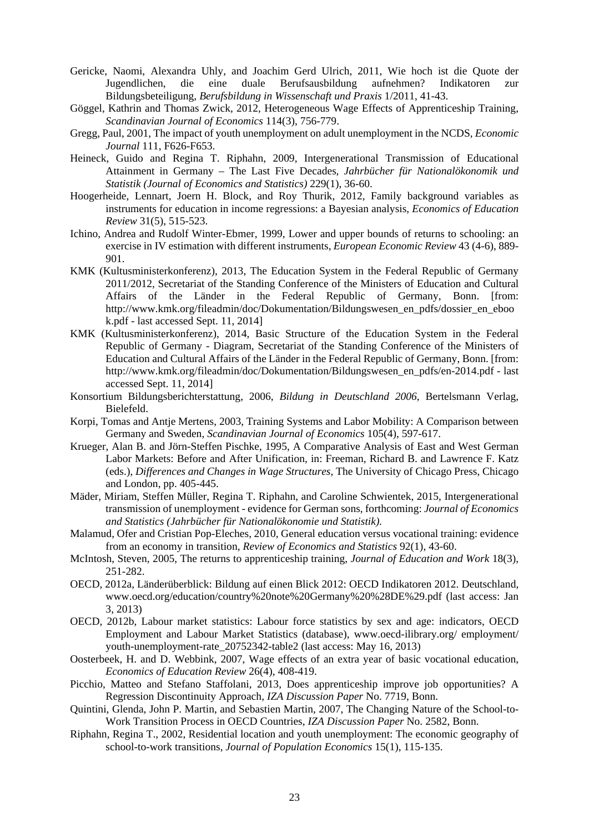- Gericke, Naomi, Alexandra Uhly, and Joachim Gerd Ulrich, 2011, Wie hoch ist die Quote der Jugendlichen, die eine duale Berufsausbildung aufnehmen? Indikatoren zur Bildungsbeteiligung, *Berufsbildung in Wissenschaft und Praxis* 1/2011, 41-43.
- Göggel, Kathrin and Thomas Zwick, 2012, Heterogeneous Wage Effects of Apprenticeship Training, *Scandinavian Journal of Economics* 114(3), 756-779.
- Gregg, Paul, 2001, The impact of youth unemployment on adult unemployment in the NCDS, *Economic Journal* 111, F626-F653.
- Heineck, Guido and Regina T. Riphahn, 2009, Intergenerational Transmission of Educational Attainment in Germany – The Last Five Decades*, Jahrbücher für Nationalökonomik und Statistik (Journal of Economics and Statistics)* 229(1), 36-60.
- Hoogerheide, Lennart, Joern H. Block, and Roy Thurik, 2012, Family background variables as instruments for education in income regressions: a Bayesian analysis, *Economics of Education Review* 31(5), 515-523.
- Ichino, Andrea and Rudolf Winter-Ebmer, 1999, Lower and upper bounds of returns to schooling: an exercise in IV estimation with different instruments, *European Economic Review* 43 (4-6), 889- 901.
- KMK (Kultusministerkonferenz), 2013, The Education System in the Federal Republic of Germany 2011/2012, Secretariat of the Standing Conference of the Ministers of Education and Cultural Affairs of the Länder in the Federal Republic of Germany, Bonn. [from: http://www.kmk.org/fileadmin/doc/Dokumentation/Bildungswesen\_en\_pdfs/dossier\_en\_eboo k.pdf - last accessed Sept. 11, 2014]
- KMK (Kultusministerkonferenz), 2014, Basic Structure of the Education System in the Federal Republic of Germany - Diagram, Secretariat of the Standing Conference of the Ministers of Education and Cultural Affairs of the Länder in the Federal Republic of Germany, Bonn. [from: http://www.kmk.org/fileadmin/doc/Dokumentation/Bildungswesen\_en\_pdfs/en-2014.pdf - last accessed Sept. 11, 2014]
- Konsortium Bildungsberichterstattung, 2006, *Bildung in Deutschland 2006*, Bertelsmann Verlag, Bielefeld.
- Korpi, Tomas and Antje Mertens, 2003, Training Systems and Labor Mobility: A Comparison between Germany and Sweden, *Scandinavian Journal of Economics* 105(4), 597-617.
- Krueger, Alan B. and Jörn-Steffen Pischke, 1995, A Comparative Analysis of East and West German Labor Markets: Before and After Unification, in: Freeman, Richard B. and Lawrence F. Katz (eds.), *Differences and Changes in Wage Structures*, The University of Chicago Press, Chicago and London, pp. 405-445.
- Mäder, Miriam, Steffen Müller, Regina T. Riphahn, and Caroline Schwientek, 2015, Intergenerational transmission of unemployment - evidence for German sons, forthcoming: *Journal of Economics and Statistics (Jahrbücher für Nationalökonomie und Statistik).*
- Malamud, Ofer and Cristian Pop-Eleches, 2010, General education versus vocational training: evidence from an economy in transition, *Review of Economics and Statistics* 92(1), 43-60.
- McIntosh, Steven, 2005, The returns to apprenticeship training, *Journal of Education and Work* 18(3), 251-282.
- OECD, 2012a, Länderüberblick: Bildung auf einen Blick 2012: OECD Indikatoren 2012. Deutschland, www.oecd.org/education/country%20note%20Germany%20%28DE%29.pdf (last access: Jan 3, 2013)
- OECD, 2012b, Labour market statistics: Labour force statistics by sex and age: indicators, OECD Employment and Labour Market Statistics (database), www.oecd-ilibrary.org/ employment/ youth-unemployment-rate 20752342-table2 (last access: May 16, 2013)
- Oosterbeek, H. and D. Webbink, 2007, Wage effects of an extra year of basic vocational education, *Economics of Education Review* 26(4), 408-419.
- Picchio, Matteo and Stefano Staffolani, 2013, Does apprenticeship improve job opportunities? A Regression Discontinuity Approach*, IZA Discussion Paper* No. 7719, Bonn.
- Quintini, Glenda, John P. Martin, and Sebastien Martin, 2007, The Changing Nature of the School-to-Work Transition Process in OECD Countries, *IZA Discussion Paper* No. 2582, Bonn.
- Riphahn, Regina T., 2002, Residential location and youth unemployment: The economic geography of school-to-work transitions, *Journal of Population Economics* 15(1), 115-135.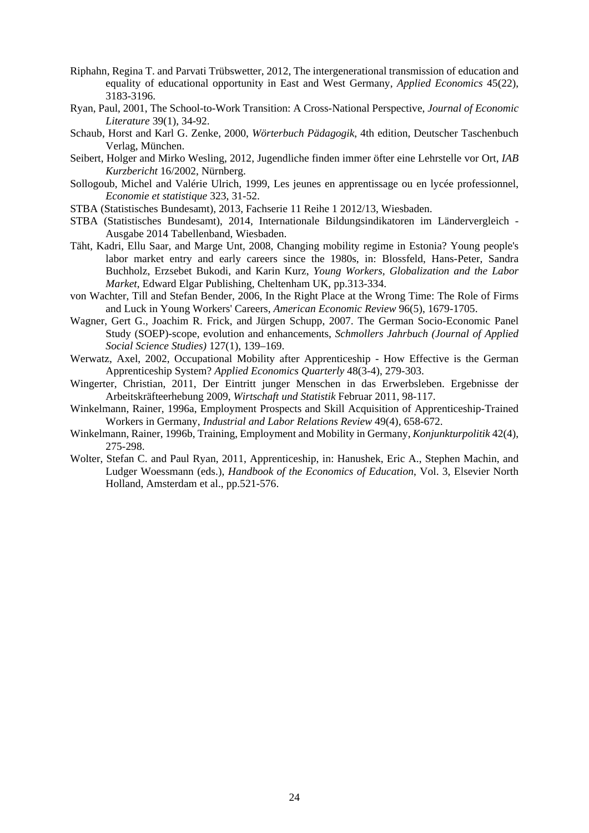- Riphahn, Regina T. and Parvati Trübswetter, 2012, The intergenerational transmission of education and equality of educational opportunity in East and West Germany, *Applied Economics* 45(22), 3183-3196.
- Ryan, Paul, 2001, The School-to-Work Transition: A Cross-National Perspective, *Journal of Economic Literature* 39(1), 34-92.
- Schaub, Horst and Karl G. Zenke, 2000, *Wörterbuch Pädagogik*, 4th edition, Deutscher Taschenbuch Verlag, München.
- Seibert, Holger and Mirko Wesling, 2012, Jugendliche finden immer öfter eine Lehrstelle vor Ort, *IAB Kurzbericht* 16/2002, Nürnberg.
- Sollogoub, Michel and Valérie Ulrich, 1999, Les jeunes en apprentissage ou en lycée professionnel, *Economie et statistique* 323, 31-52.
- STBA (Statistisches Bundesamt), 2013, Fachserie 11 Reihe 1 2012/13, Wiesbaden.
- STBA (Statistisches Bundesamt), 2014, Internationale Bildungsindikatoren im Ländervergleich Ausgabe 2014 Tabellenband, Wiesbaden.
- Täht, Kadri, Ellu Saar, and Marge Unt, 2008, Changing mobility regime in Estonia? Young people's labor market entry and early careers since the 1980s, in: Blossfeld, Hans-Peter, Sandra Buchholz, Erzsebet Bukodi, and Karin Kurz, *Young Workers, Globalization and the Labor Market*, Edward Elgar Publishing, Cheltenham UK, pp.313-334.
- von Wachter, Till and Stefan Bender, 2006, In the Right Place at the Wrong Time: The Role of Firms and Luck in Young Workers' Careers, *American Economic Review* 96(5), 1679-1705.
- Wagner, Gert G., Joachim R. Frick, and Jürgen Schupp, 2007. The German Socio-Economic Panel Study (SOEP)-scope, evolution and enhancements, *Schmollers Jahrbuch (Journal of Applied Social Science Studies)* 127(1), 139–169.
- Werwatz, Axel, 2002, Occupational Mobility after Apprenticeship How Effective is the German Apprenticeship System? *Applied Economics Quarterly* 48(3-4), 279-303.
- Wingerter, Christian, 2011, Der Eintritt junger Menschen in das Erwerbsleben. Ergebnisse der Arbeitskräfteerhebung 2009, *Wirtschaft und Statistik* Februar 2011, 98-117.
- Winkelmann, Rainer, 1996a, Employment Prospects and Skill Acquisition of Apprenticeship-Trained Workers in Germany, *Industrial and Labor Relations Review* 49(4), 658-672.
- Winkelmann, Rainer, 1996b, Training, Employment and Mobility in Germany, *Konjunkturpolitik* 42(4), 275-298.
- Wolter, Stefan C. and Paul Ryan, 2011, Apprenticeship, in: Hanushek, Eric A., Stephen Machin, and Ludger Woessmann (eds.), *Handbook of the Economics of Education*, Vol. 3, Elsevier North Holland, Amsterdam et al., pp.521-576.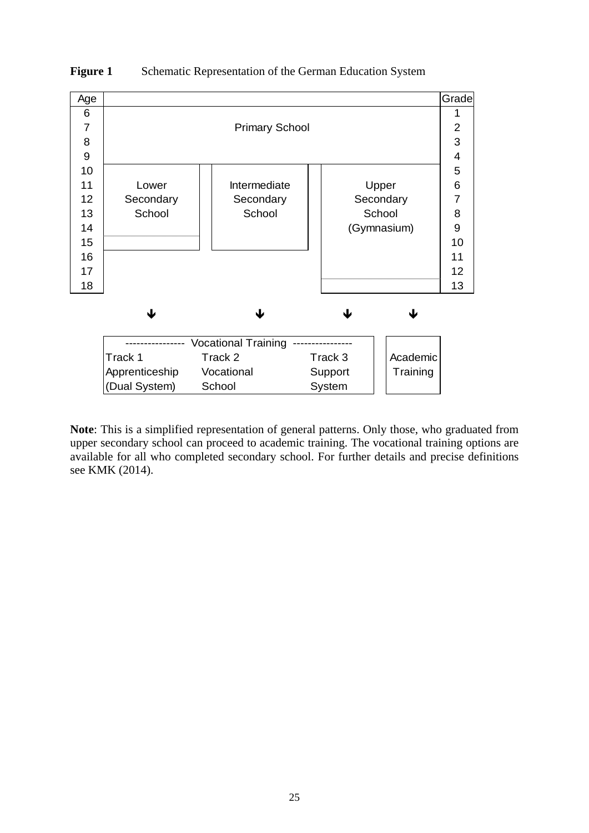

#### **Figure 1** Schematic Representation of the German Education System

**Note**: This is a simplified representation of general patterns. Only those, who graduated from upper secondary school can proceed to academic training. The vocational training options are available for all who completed secondary school. For further details and precise definitions see KMK (2014).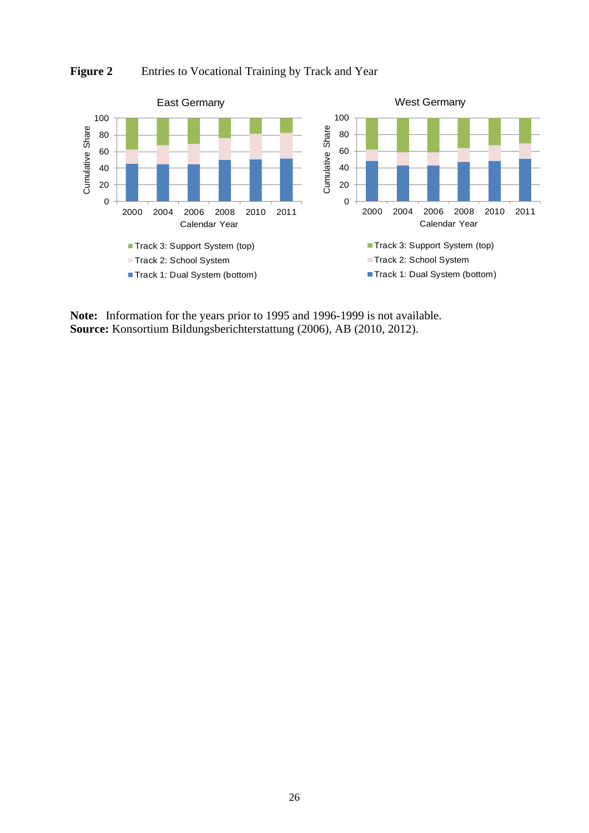

Figure 2 Entries to Vocational Training by Track and Year

**Note:** Information for the years prior to 1995 and 1996-1999 is not available. **Source:** Konsortium Bildungsberichterstattung (2006), AB (2010, 2012).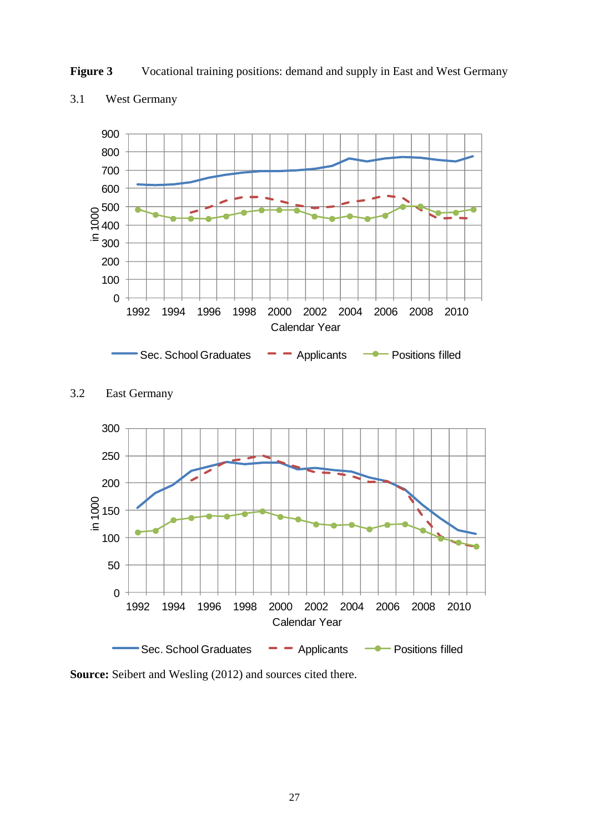



### 3.1 West Germany



3.2 East Germany

**Source:** Seibert and Wesling (2012) and sources cited there.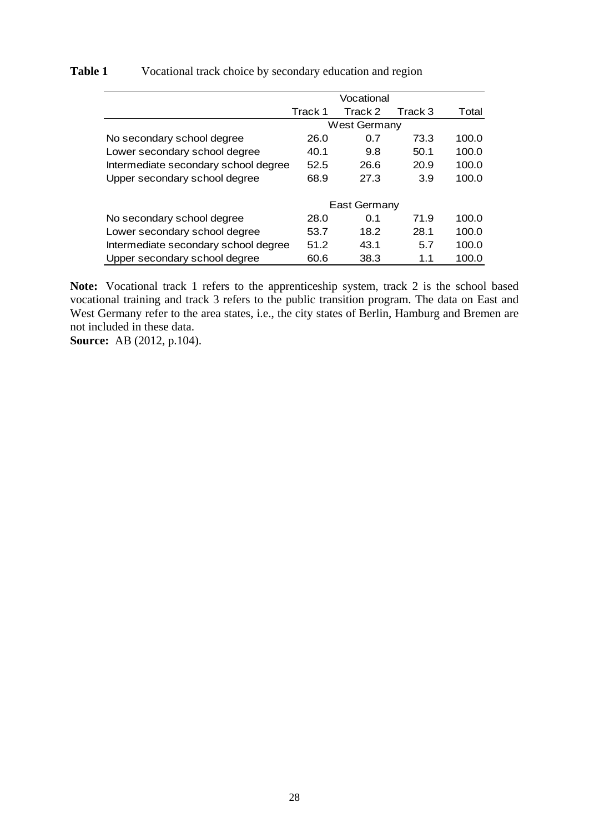|                                      |         | Vocational          |         |       |
|--------------------------------------|---------|---------------------|---------|-------|
|                                      | Track 1 | Track 2             | Track 3 | Total |
|                                      |         | <b>West Germany</b> |         |       |
| No secondary school degree           | 26.0    | 0.7                 | 73.3    | 100.0 |
| Lower secondary school degree        | 40.1    | 9.8                 | 50.1    | 100.0 |
| Intermediate secondary school degree | 52.5    | 26.6                | 20.9    | 100.0 |
| Upper secondary school degree        | 68.9    | 27.3                | 3.9     | 100.0 |
|                                      |         | East Germany        |         |       |
| No secondary school degree           | 28.0    | 0.1                 | 71.9    | 100.0 |
| Lower secondary school degree        | 53.7    | 18.2                | 28.1    | 100.0 |
| Intermediate secondary school degree | 51.2    | 43.1                | 5.7     | 100.0 |
| Upper secondary school degree        | 60.6    | 38.3                | 1.1     | 100.0 |

### Table 1 Vocational track choice by secondary education and region

**Note:** Vocational track 1 refers to the apprenticeship system, track 2 is the school based vocational training and track 3 refers to the public transition program. The data on East and West Germany refer to the area states, i.e., the city states of Berlin, Hamburg and Bremen are not included in these data.

**Source:** AB (2012, p.104).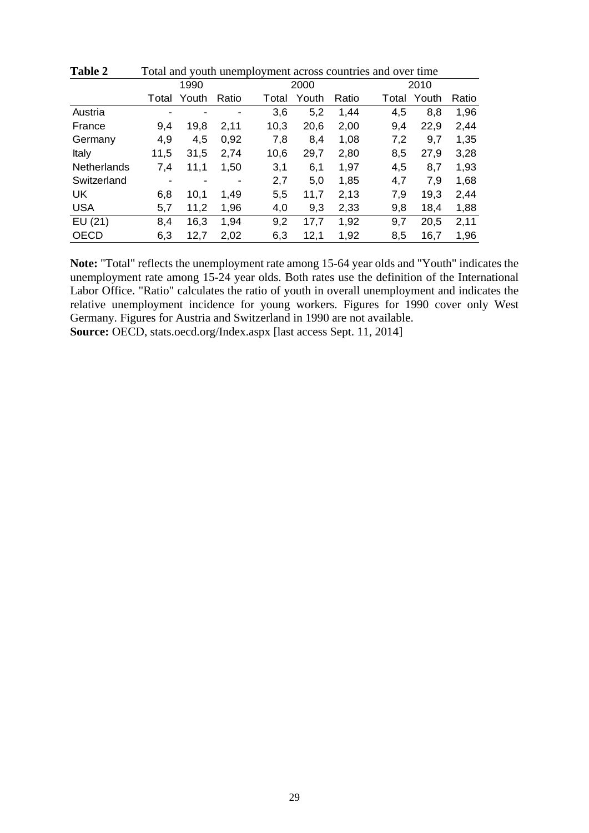|       | 1990  |       |  |                                                                               |      |                                                   |                                                                                       |     |       |                                                                                           |
|-------|-------|-------|--|-------------------------------------------------------------------------------|------|---------------------------------------------------|---------------------------------------------------------------------------------------|-----|-------|-------------------------------------------------------------------------------------------|
| Total | Youth | Ratio |  |                                                                               |      |                                                   |                                                                                       |     |       | Ratio                                                                                     |
| ٠     | ٠     |       |  |                                                                               |      |                                                   |                                                                                       | 4,5 |       | 1,96                                                                                      |
| 9,4   | 19,8  | 2,11  |  |                                                                               |      |                                                   |                                                                                       | 9,4 |       | 2,44                                                                                      |
| 4,9   | 4,5   | 0,92  |  |                                                                               |      |                                                   |                                                                                       | 7,2 |       | 1,35                                                                                      |
| 11,5  | 31,5  | 2,74  |  |                                                                               |      |                                                   |                                                                                       | 8,5 |       | 3,28                                                                                      |
| 7,4   | 11,1  | 1,50  |  | 6,1                                                                           |      |                                                   |                                                                                       | 4,5 |       | 1,93                                                                                      |
| ٠     |       |       |  |                                                                               |      |                                                   |                                                                                       | 4,7 |       | 1,68                                                                                      |
| 6,8   | 10,1  | 1,49  |  | 11,7                                                                          |      |                                                   |                                                                                       | 7,9 |       | 2,44                                                                                      |
| 5,7   | 11,2  | 1,96  |  |                                                                               |      |                                                   |                                                                                       | 9,8 |       | 1,88                                                                                      |
| 8,4   | 16,3  | 1,94  |  | 17,7                                                                          |      |                                                   |                                                                                       | 9,7 |       | 2,11                                                                                      |
| 6,3   | 12,7  | 2,02  |  | 12,1                                                                          |      |                                                   |                                                                                       | 8,5 |       | 1,96                                                                                      |
|       |       |       |  | Total<br>3,6<br>10,3<br>7,8<br>10,6<br>3,1<br>2,7<br>5,5<br>4,0<br>9,2<br>6,3 | 2000 | Youth<br>5,2<br>20,6<br>8,4<br>29,7<br>5,0<br>9,3 | Ratio<br>1,44<br>2,00<br>1,08<br>2,80<br>1,97<br>1,85<br>2,13<br>2,33<br>1,92<br>1,92 |     | Total | 2010<br>Youth<br>8,8<br>22,9<br>9,7<br>27,9<br>8,7<br>7,9<br>19,3<br>18,4<br>20,5<br>16,7 |

**Table 2** Total and youth unemployment across countries and over time

**Note:** "Total" reflects the unemployment rate among 15-64 year olds and "Youth" indicates the unemployment rate among 15-24 year olds. Both rates use the definition of the International Labor Office. "Ratio" calculates the ratio of youth in overall unemployment and indicates the relative unemployment incidence for young workers. Figures for 1990 cover only West Germany. Figures for Austria and Switzerland in 1990 are not available.

**Source:** OECD, stats.oecd.org/Index.aspx [last access Sept. 11, 2014]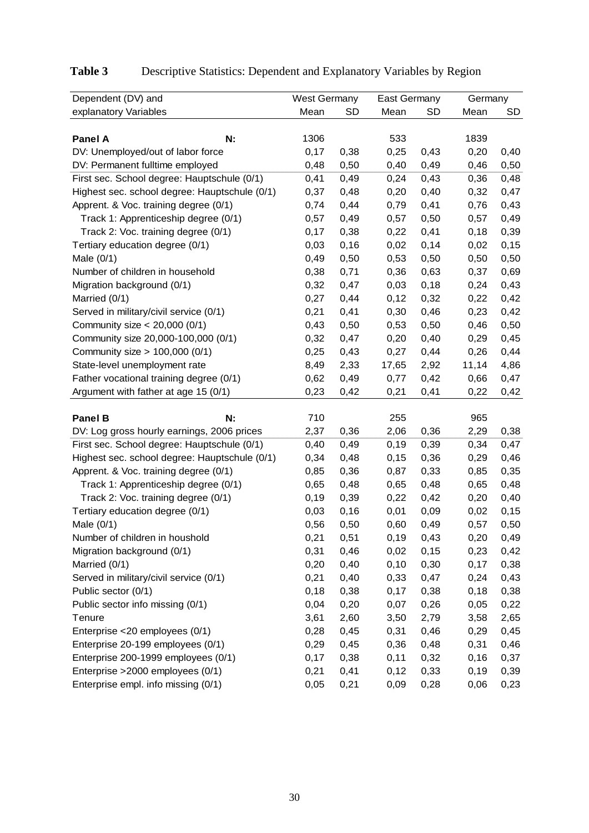| Dependent (DV) and                            | West Germany |           | <b>East Germany</b> |           | Germany |       |
|-----------------------------------------------|--------------|-----------|---------------------|-----------|---------|-------|
| explanatory Variables                         | Mean         | <b>SD</b> | Mean                | <b>SD</b> | Mean    | SD    |
|                                               |              |           |                     |           |         |       |
| <b>Panel A</b><br>N:                          | 1306         |           | 533                 |           | 1839    |       |
| DV: Unemployed/out of labor force             | 0,17         | 0,38      | 0,25                | 0,43      | 0,20    | 0,40  |
| DV: Permanent fulltime employed               | 0,48         | 0,50      | 0,40                | 0,49      | 0,46    | 0,50  |
| First sec. School degree: Hauptschule (0/1)   | 0,41         | 0,49      | 0,24                | 0,43      | 0,36    | 0,48  |
| Highest sec. school degree: Hauptschule (0/1) | 0,37         | 0,48      | 0,20                | 0,40      | 0,32    | 0,47  |
| Apprent. & Voc. training degree (0/1)         | 0,74         | 0,44      | 0,79                | 0,41      | 0,76    | 0,43  |
| Track 1: Apprenticeship degree (0/1)          | 0,57         | 0,49      | 0,57                | 0,50      | 0,57    | 0,49  |
| Track 2: Voc. training degree (0/1)           | 0,17         | 0,38      | 0,22                | 0,41      | 0,18    | 0,39  |
| Tertiary education degree (0/1)               | 0,03         | 0,16      | 0,02                | 0,14      | 0,02    | 0, 15 |
| Male $(0/1)$                                  | 0,49         | 0,50      | 0,53                | 0,50      | 0,50    | 0,50  |
| Number of children in household               | 0,38         | 0,71      | 0,36                | 0,63      | 0,37    | 0,69  |
| Migration background (0/1)                    | 0,32         | 0,47      | 0,03                | 0,18      | 0,24    | 0,43  |
| Married (0/1)                                 | 0,27         | 0,44      | 0,12                | 0,32      | 0,22    | 0,42  |
| Served in military/civil service (0/1)        | 0,21         | 0,41      | 0,30                | 0,46      | 0,23    | 0,42  |
| Community size $<$ 20,000 (0/1)               | 0,43         | 0,50      | 0,53                | 0,50      | 0,46    | 0,50  |
| Community size 20,000-100,000 (0/1)           | 0,32         | 0,47      | 0,20                | 0,40      | 0,29    | 0,45  |
| Community size > 100,000 (0/1)                | 0,25         | 0,43      | 0,27                | 0,44      | 0,26    | 0,44  |
| State-level unemployment rate                 | 8,49         | 2,33      | 17,65               | 2,92      | 11,14   | 4,86  |
| Father vocational training degree (0/1)       | 0,62         | 0,49      | 0,77                | 0,42      | 0,66    | 0,47  |
| Argument with father at age 15 (0/1)          | 0,23         | 0,42      | 0,21                | 0,41      | 0,22    | 0,42  |
|                                               |              |           |                     |           |         |       |
| <b>Panel B</b><br>N:                          | 710          |           | 255                 |           | 965     |       |
| DV: Log gross hourly earnings, 2006 prices    | 2,37         | 0,36      | 2,06                | 0,36      | 2,29    | 0,38  |
| First sec. School degree: Hauptschule (0/1)   | 0,40         | 0,49      | 0,19                | 0,39      | 0,34    | 0,47  |
| Highest sec. school degree: Hauptschule (0/1) | 0,34         | 0,48      | 0,15                | 0,36      | 0,29    | 0,46  |
| Apprent. & Voc. training degree (0/1)         | 0,85         | 0,36      | 0,87                | 0,33      | 0,85    | 0,35  |
| Track 1: Apprenticeship degree (0/1)          | 0,65         | 0,48      | 0,65                | 0,48      | 0,65    | 0,48  |
| Track 2: Voc. training degree (0/1)           | 0, 19        | 0,39      | 0,22                | 0,42      | 0,20    | 0,40  |
| Tertiary education degree (0/1)               | 0,03         | 0,16      | 0,01                | 0,09      | 0,02    | 0,15  |
| Male $(0/1)$                                  | 0,56         | 0,50      | 0,60                | 0,49      | 0,57    | 0,50  |
| Number of children in houshold                | 0,21         | 0,51      | 0, 19               | 0,43      | 0,20    | 0,49  |
| Migration background (0/1)                    | 0,31         | 0,46      | 0,02                | 0,15      | 0,23    | 0,42  |
| Married (0/1)                                 | 0,20         | 0,40      | 0, 10               | 0,30      | 0,17    | 0,38  |
| Served in military/civil service (0/1)        | 0,21         | 0,40      | 0,33                | 0,47      | 0,24    | 0,43  |
| Public sector (0/1)                           | 0,18         | 0,38      | 0,17                | 0,38      | 0,18    | 0,38  |
| Public sector info missing (0/1)              | 0,04         | 0,20      | 0,07                | 0,26      | 0,05    | 0,22  |
| Tenure                                        | 3,61         | 2,60      | 3,50                | 2,79      | 3,58    | 2,65  |
| Enterprise <20 employees (0/1)                | 0,28         | 0,45      | 0,31                | 0,46      | 0,29    | 0,45  |
| Enterprise 20-199 employees (0/1)             | 0,29         | 0,45      | 0,36                | 0,48      | 0,31    | 0,46  |
| Enterprise 200-1999 employees (0/1)           | 0,17         | 0,38      | 0,11                | 0,32      | 0,16    | 0,37  |
| Enterprise > 2000 employees (0/1)             | 0,21         | 0,41      | 0,12                | 0,33      | 0,19    | 0,39  |
| Enterprise empl. info missing (0/1)           | 0,05         | 0,21      | 0,09                | 0,28      | 0,06    | 0,23  |

# **Table 3** Descriptive Statistics: Dependent and Explanatory Variables by Region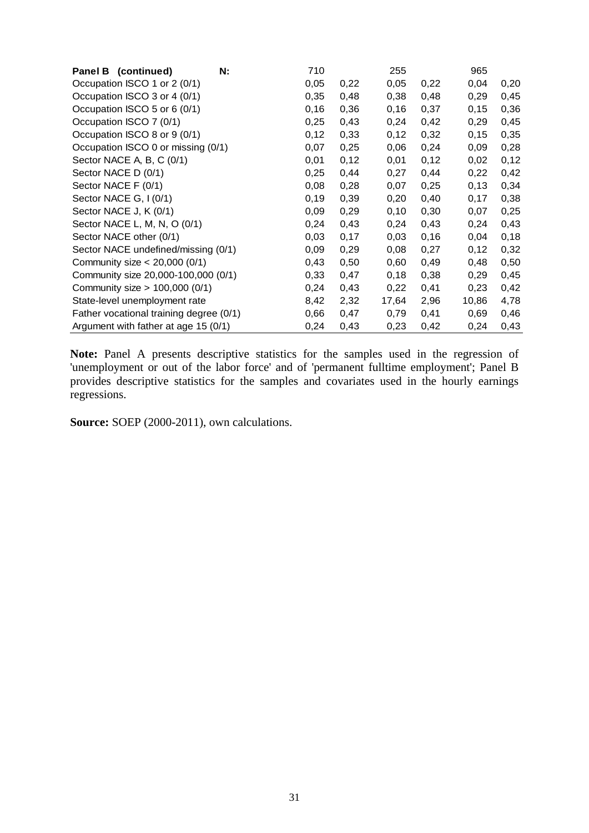| Panel B (continued)                     | N: | 710  |      | 255   |      | 965   |      |
|-----------------------------------------|----|------|------|-------|------|-------|------|
| Occupation ISCO 1 or 2 (0/1)            |    | 0,05 | 0,22 | 0,05  | 0,22 | 0,04  | 0,20 |
| Occupation ISCO 3 or 4 (0/1)            |    | 0,35 | 0,48 | 0,38  | 0,48 | 0,29  | 0,45 |
| Occupation ISCO 5 or 6 (0/1)            |    | 0,16 | 0,36 | 0, 16 | 0,37 | 0,15  | 0,36 |
| Occupation ISCO 7 (0/1)                 |    | 0,25 | 0,43 | 0,24  | 0,42 | 0,29  | 0,45 |
| Occupation ISCO 8 or 9 (0/1)            |    | 0,12 | 0,33 | 0,12  | 0,32 | 0, 15 | 0,35 |
| Occupation ISCO 0 or missing (0/1)      |    | 0,07 | 0,25 | 0,06  | 0,24 | 0,09  | 0,28 |
| Sector NACE A, B, C (0/1)               |    | 0,01 | 0,12 | 0,01  | 0,12 | 0,02  | 0,12 |
| Sector NACE D (0/1)                     |    | 0,25 | 0,44 | 0.27  | 0,44 | 0,22  | 0,42 |
| Sector NACE F (0/1)                     |    | 0,08 | 0,28 | 0,07  | 0,25 | 0,13  | 0,34 |
| Sector NACE G, I (0/1)                  |    | 0,19 | 0,39 | 0,20  | 0,40 | 0,17  | 0,38 |
| Sector NACE J, K (0/1)                  |    | 0,09 | 0,29 | 0, 10 | 0,30 | 0,07  | 0,25 |
| Sector NACE L, M, N, O (0/1)            |    | 0,24 | 0,43 | 0,24  | 0,43 | 0,24  | 0,43 |
| Sector NACE other (0/1)                 |    | 0,03 | 0,17 | 0,03  | 0,16 | 0,04  | 0,18 |
| Sector NACE undefined/missing (0/1)     |    | 0,09 | 0,29 | 0,08  | 0,27 | 0,12  | 0,32 |
| Community size $<$ 20,000 (0/1)         |    | 0,43 | 0,50 | 0,60  | 0,49 | 0,48  | 0,50 |
| Community size 20,000-100,000 (0/1)     |    | 0,33 | 0,47 | 0,18  | 0,38 | 0,29  | 0,45 |
| Community size > 100,000 (0/1)          |    | 0,24 | 0,43 | 0,22  | 0,41 | 0,23  | 0,42 |
| State-level unemployment rate           |    | 8,42 | 2,32 | 17,64 | 2,96 | 10,86 | 4,78 |
| Father vocational training degree (0/1) |    | 0,66 | 0,47 | 0,79  | 0,41 | 0,69  | 0,46 |
| Argument with father at age 15 (0/1)    |    | 0,24 | 0,43 | 0,23  | 0,42 | 0,24  | 0,43 |

**Note:** Panel A presents descriptive statistics for the samples used in the regression of 'unemployment or out of the labor force' and of 'permanent fulltime employment'; Panel B provides descriptive statistics for the samples and covariates used in the hourly earnings regressions.

**Source:** SOEP (2000-2011), own calculations.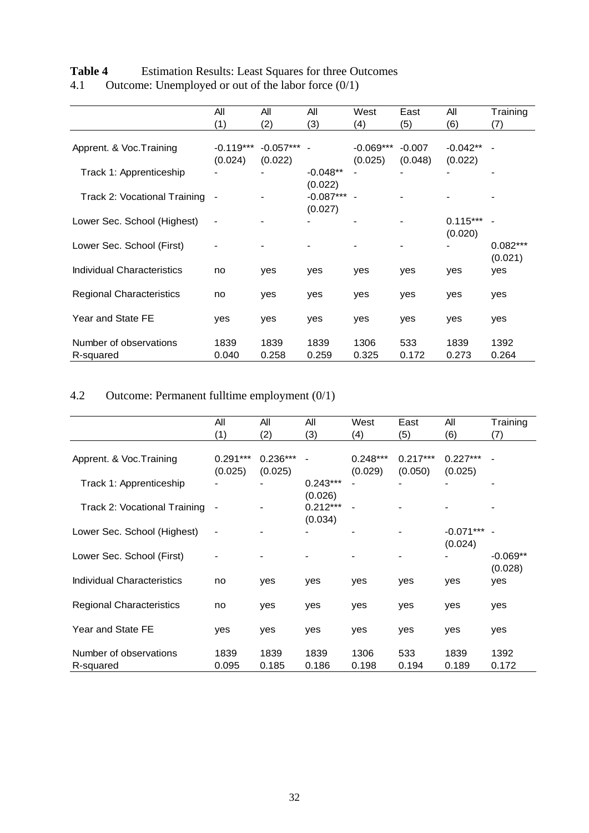| Table 4<br><b>Estimation Results: Least Squares for three Outcomes</b> |
|------------------------------------------------------------------------|
|------------------------------------------------------------------------|

| 4.1 | Outcome: Unemployed or out of the labor force $(0/1)$ |  |  |  |
|-----|-------------------------------------------------------|--|--|--|
|     |                                                       |  |  |  |

|                                   | All                      | All         | All                      | West        | East     | All        | Training   |
|-----------------------------------|--------------------------|-------------|--------------------------|-------------|----------|------------|------------|
|                                   | (1)                      | (2)         | (3)                      | (4)         | (5)      | (6)        | (7)        |
|                                   |                          |             |                          |             |          |            |            |
| Apprent. & Voc. Training          | $-0.119***$              | $-0.057***$ | $\overline{\phantom{a}}$ | $-0.069***$ | $-0.007$ | $-0.042**$ |            |
|                                   | (0.024)                  | (0.022)     |                          | (0.025)     | (0.048)  | (0.022)    |            |
| Track 1: Apprenticeship           |                          |             | $-0.048**$               |             |          |            |            |
|                                   |                          |             | (0.022)                  |             |          |            |            |
| Track 2: Vocational Training      |                          |             | $-0.087***$              |             |          |            |            |
|                                   |                          |             | (0.027)                  |             |          |            |            |
| Lower Sec. School (Highest)       | $\overline{\phantom{a}}$ |             |                          |             |          | $0.115***$ |            |
|                                   |                          |             |                          |             |          | (0.020)    |            |
| Lower Sec. School (First)         |                          |             |                          |             |          |            | $0.082***$ |
|                                   |                          |             |                          |             |          |            | (0.021)    |
| <b>Individual Characteristics</b> | no                       | yes         | yes                      | yes         | yes      | yes        | yes        |
|                                   |                          |             |                          |             |          |            |            |
| <b>Regional Characteristics</b>   | no                       | yes         | yes                      | yes         | yes      | yes        | yes        |
|                                   |                          |             |                          |             |          |            |            |
| Year and State FE                 | yes                      | yes         | yes                      | yes         | yes      | yes        | yes        |
|                                   |                          |             |                          |             |          |            |            |
| Number of observations            | 1839                     | 1839        | 1839                     | 1306        | 533      | 1839       | 1392       |
| R-squared                         | 0.040                    | 0.258       | 0.259                    | 0.325       | 0.172    | 0.273      | 0.264      |

# 4.2 Outcome: Permanent fulltime employment (0/1)

|                                 | All                          | All        | All        | West       | East       | All         | Training                 |
|---------------------------------|------------------------------|------------|------------|------------|------------|-------------|--------------------------|
|                                 | (1)                          | (2)        | (3)        | (4)        | (5)        | (6)         | (7)                      |
|                                 |                              |            |            |            |            |             |                          |
| Apprent. & Voc. Training        | $0.291***$                   | $0.236***$ |            | $0.248***$ | $0.217***$ | $0.227***$  |                          |
|                                 | (0.025)                      | (0.025)    |            | (0.029)    | (0.050)    | (0.025)     |                          |
| Track 1: Apprenticeship         |                              |            | $0.243***$ |            |            |             |                          |
|                                 |                              |            | (0.026)    |            |            |             |                          |
| Track 2: Vocational Training    | $\qquad \qquad \blacksquare$ |            | $0.212***$ |            |            |             |                          |
|                                 |                              |            | (0.034)    |            |            |             |                          |
| Lower Sec. School (Highest)     | $\overline{\phantom{a}}$     |            |            |            |            | $-0.071***$ | $\overline{\phantom{a}}$ |
|                                 |                              |            |            |            |            | (0.024)     |                          |
| Lower Sec. School (First)       |                              |            |            |            |            |             | $-0.069**$               |
|                                 |                              |            |            |            |            |             | (0.028)                  |
| Individual Characteristics      | no                           | yes        | yes        | yes        | yes        | yes         | yes                      |
|                                 |                              |            |            |            |            |             |                          |
| <b>Regional Characteristics</b> | no                           | yes        | yes        | yes        | yes        | yes         | yes                      |
|                                 |                              |            |            |            |            |             |                          |
| Year and State FE               | yes                          | yes        | yes        | yes        | yes        | yes         | yes                      |
|                                 |                              |            |            |            |            |             |                          |
| Number of observations          | 1839                         | 1839       | 1839       | 1306       | 533        | 1839        | 1392                     |
| R-squared                       | 0.095                        | 0.185      | 0.186      | 0.198      | 0.194      | 0.189       | 0.172                    |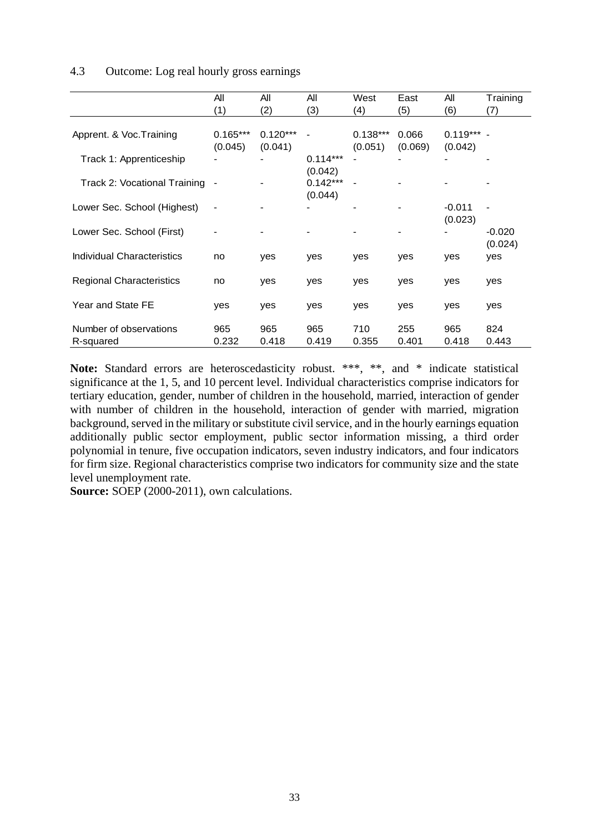#### 4.3 Outcome: Log real hourly gross earnings

|                                 | All                      | All        | All        | West       | East                     | All        | Training |
|---------------------------------|--------------------------|------------|------------|------------|--------------------------|------------|----------|
|                                 | (1)                      | (2)        | (3)        | (4)        | (5)                      | (6)        | (7)      |
|                                 |                          |            |            |            |                          |            |          |
| Apprent. & Voc. Training        | $0.165***$               | $0.120***$ |            | $0.138***$ | 0.066                    | $0.119***$ |          |
|                                 | (0.045)                  | (0.041)    |            | (0.051)    | (0.069)                  | (0.042)    |          |
| Track 1: Apprenticeship         |                          |            | $0.114***$ |            |                          |            |          |
|                                 |                          |            | (0.042)    |            |                          |            |          |
| Track 2: Vocational Training    |                          |            | $0.142***$ |            | $\overline{\phantom{0}}$ |            |          |
|                                 |                          |            | (0.044)    |            |                          |            |          |
| Lower Sec. School (Highest)     | $\overline{\phantom{a}}$ |            |            |            |                          | $-0.011$   |          |
|                                 |                          |            |            |            |                          | (0.023)    |          |
| Lower Sec. School (First)       |                          |            |            |            |                          |            | $-0.020$ |
|                                 |                          |            |            |            |                          |            | (0.024)  |
| Individual Characteristics      | no                       | yes        | yes        | yes        | yes                      | yes        | yes      |
|                                 |                          |            |            |            |                          |            |          |
| <b>Regional Characteristics</b> | no                       | yes        | yes        | yes        | yes                      | yes        | yes      |
|                                 |                          |            |            |            |                          |            |          |
| Year and State FE               | yes                      | yes        | yes        | yes        | yes                      | yes        | yes      |
|                                 |                          |            |            |            |                          |            |          |
| Number of observations          | 965                      | 965        | 965        | 710        | 255                      | 965        | 824      |
| R-squared                       | 0.232                    | 0.418      | 0.419      | 0.355      | 0.401                    | 0.418      | 0.443    |

Note: Standard errors are heteroscedasticity robust. \*\*\*, \*\*, and \* indicate statistical significance at the 1, 5, and 10 percent level. Individual characteristics comprise indicators for tertiary education, gender, number of children in the household, married, interaction of gender with number of children in the household, interaction of gender with married, migration background, served in the military or substitute civil service, and in the hourly earnings equation additionally public sector employment, public sector information missing, a third order polynomial in tenure, five occupation indicators, seven industry indicators, and four indicators for firm size. Regional characteristics comprise two indicators for community size and the state level unemployment rate.

**Source:** SOEP (2000-2011), own calculations.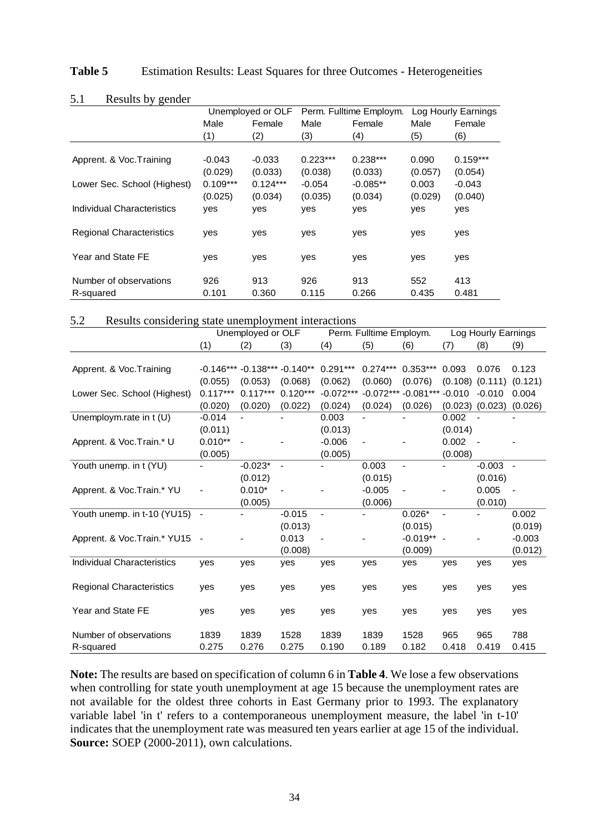| Table 5 |  |  | Estimation Results: Least Squares for three Outcomes - Heterogeneities |
|---------|--|--|------------------------------------------------------------------------|
|---------|--|--|------------------------------------------------------------------------|

| J.I<br>Results by genuel        |            |                   |            |                         |         |                     |  |
|---------------------------------|------------|-------------------|------------|-------------------------|---------|---------------------|--|
|                                 |            | Unemployed or OLF |            | Perm. Fulltime Employm. |         | Log Hourly Earnings |  |
|                                 | Male       | Female            | Male       | Female                  | Male    | Female              |  |
|                                 | (1)        | (2)               | (3)        | (4)                     | (5)     | (6)                 |  |
|                                 |            |                   |            |                         |         |                     |  |
| Apprent. & Voc. Training        | $-0.043$   | $-0.033$          | $0.223***$ | $0.238***$              | 0.090   | $0.159***$          |  |
|                                 | (0.029)    | (0.033)           | (0.038)    | (0.033)                 | (0.057) | (0.054)             |  |
| Lower Sec. School (Highest)     | $0.109***$ | $0.124***$        | $-0.054$   | $-0.085**$              | 0.003   | -0.043              |  |
|                                 | (0.025)    | (0.034)           | (0.035)    | (0.034)                 | (0.029) | (0.040)             |  |
| Individual Characteristics      | yes        | yes               | yes        | yes                     | yes     | yes                 |  |
| <b>Regional Characteristics</b> | yes        | yes               | yes        | yes                     | yes     | yes                 |  |
| Year and State FE               | yes        | yes               | yes        | yes                     | yes     | yes                 |  |
| Number of observations          | 926        | 913               | 926        | 913                     | 552     | 413                 |  |
| R-squared                       | 0.101      | 0.360             | 0.115      | 0.266                   | 0.435   | 0.481               |  |

#### 5.1 Results by gender

| 5.2 |  |  | Results considering state unemployment interactions |
|-----|--|--|-----------------------------------------------------|
|     |  |  |                                                     |

|                                   | Unemployed or OLF        |                |                          | Perm. Fulltime Employm.  |                              |              | Log Hourly Earnings |                          |                          |
|-----------------------------------|--------------------------|----------------|--------------------------|--------------------------|------------------------------|--------------|---------------------|--------------------------|--------------------------|
|                                   | (1)                      | (2)            | (3)                      | (4)                      | (5)                          | (6)          | (7)                 | (8)                      | (9)                      |
|                                   |                          |                |                          |                          |                              |              |                     |                          |                          |
| Apprent. & Voc. Training          | $-0.146***$              |                | $-0.138***-0.140**$      | $0.291***$               | $0.274***$                   | $0.353***$   | 0.093               | 0.076                    | 0.123                    |
|                                   | (0.055)                  | (0.053)        | (0.068)                  | (0.062)                  | (0.060)                      | (0.076)      |                     | $(0.108)$ $(0.111)$      | (0.121)                  |
| Lower Sec. School (Highest)       | $0.117***$               | $0.117***$     | $0.120***$               | $-0.072***$              | $-0.072***$                  | $-0.081***$  | $-0.010$            | $-0.010$                 | 0.004                    |
|                                   | (0.020)                  | (0.020)        | (0.022)                  | (0.024)                  | (0.024)                      | (0.026)      |                     | $(0.023)$ $(0.023)$      | (0.026)                  |
| Unemploym.rate in t (U)           | $-0.014$                 |                |                          | 0.003                    |                              |              | 0.002               |                          |                          |
|                                   | (0.011)                  |                |                          | (0.013)                  |                              |              | (0.014)             |                          |                          |
| Apprent. & Voc.Train.* U          | $0.010**$                | $\overline{a}$ |                          | $-0.006$                 | $\qquad \qquad \blacksquare$ |              | 0.002               | $\overline{\phantom{a}}$ |                          |
|                                   | (0.005)                  |                |                          | (0.005)                  |                              |              | (0.008)             |                          |                          |
| Youth unemp. in t (YU)            |                          | $-0.023*$      | $\overline{\phantom{0}}$ |                          | 0.003                        |              |                     | $-0.003$                 | $\sim$                   |
|                                   |                          | (0.012)        |                          |                          | (0.015)                      |              |                     | (0.016)                  |                          |
| Apprent. & Voc. Train.* YU        |                          | $0.010*$       |                          |                          | $-0.005$                     |              |                     | 0.005                    | $\overline{\phantom{a}}$ |
|                                   |                          | (0.005)        |                          |                          | (0.006)                      |              |                     | (0.010)                  |                          |
| Youth unemp. in t-10 (YU15)       | $\overline{\phantom{a}}$ |                | $-0.015$                 | $\overline{\phantom{m}}$ |                              | $0.026*$     |                     |                          | 0.002                    |
|                                   |                          |                | (0.013)                  |                          |                              | (0.015)      |                     |                          | (0.019)                  |
| Apprent. & Voc.Train.* YU15       | $\sim$                   |                | 0.013                    |                          |                              | $-0.019**$ - |                     |                          | $-0.003$                 |
|                                   |                          |                | (0.008)                  |                          |                              | (0.009)      |                     |                          | (0.012)                  |
| <b>Individual Characteristics</b> | yes                      | yes            | yes                      | yes                      | yes                          | yes          | yes                 | yes                      | yes                      |
|                                   |                          |                |                          |                          |                              |              |                     |                          |                          |
| <b>Regional Characteristics</b>   | yes                      | yes            | yes                      | yes                      | yes                          | yes          | yes                 | yes                      | yes                      |
|                                   |                          |                |                          |                          |                              |              |                     |                          |                          |
| Year and State FE                 | yes                      | yes            | yes                      | yes                      | yes                          | yes          | yes                 | yes                      | yes                      |
|                                   |                          |                |                          |                          |                              |              |                     |                          |                          |
| Number of observations            | 1839                     | 1839           | 1528                     | 1839                     | 1839                         | 1528         | 965                 | 965                      | 788                      |
| R-squared                         | 0.275                    | 0.276          | 0.275                    | 0.190                    | 0.189                        | 0.182        | 0.418               | 0.419                    | 0.415                    |

**Note:** The results are based on specification of column 6 in **Table 4**. We lose a few observations when controlling for state youth unemployment at age 15 because the unemployment rates are not available for the oldest three cohorts in East Germany prior to 1993. The explanatory variable label 'in t' refers to a contemporaneous unemployment measure, the label 'in t-10' indicates that the unemployment rate was measured ten years earlier at age 15 of the individual. **Source:** SOEP (2000-2011), own calculations.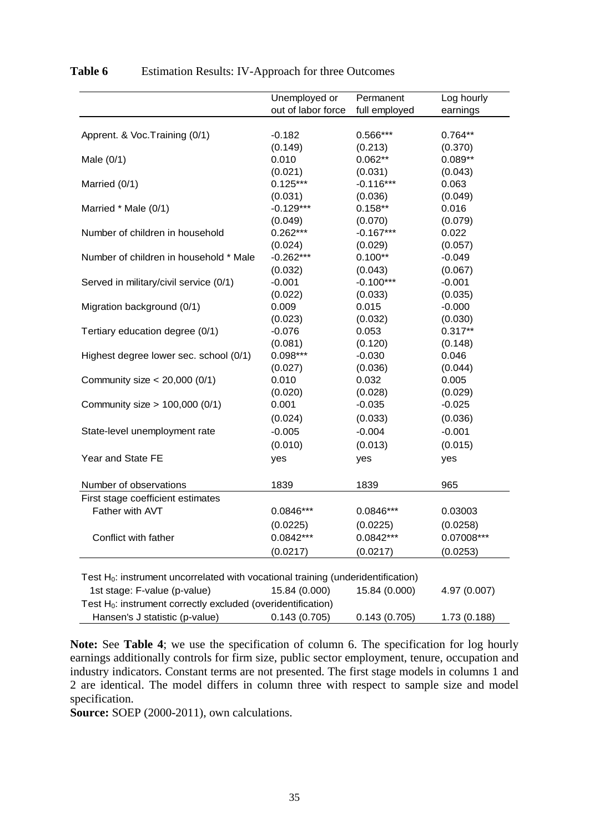|                                                                                     | Unemployed or      | Permanent     | Log hourly   |
|-------------------------------------------------------------------------------------|--------------------|---------------|--------------|
|                                                                                     | out of labor force | full employed | earnings     |
| Apprent. & Voc. Training (0/1)                                                      | $-0.182$           | 0.566***      | $0.764**$    |
|                                                                                     | (0.149)            | (0.213)       | (0.370)      |
| Male $(0/1)$                                                                        | 0.010              | $0.062**$     | $0.089**$    |
|                                                                                     | (0.021)            | (0.031)       | (0.043)      |
| Married (0/1)                                                                       | $0.125***$         | $-0.116***$   | 0.063        |
|                                                                                     | (0.031)            | (0.036)       | (0.049)      |
| Married * Male (0/1)                                                                | $-0.129***$        | $0.158**$     | 0.016        |
|                                                                                     | (0.049)            | (0.070)       | (0.079)      |
| Number of children in household                                                     | $0.262***$         | $-0.167***$   | 0.022        |
|                                                                                     | (0.024)            | (0.029)       | (0.057)      |
| Number of children in household * Male                                              | $-0.262***$        | $0.100**$     | $-0.049$     |
|                                                                                     | (0.032)            | (0.043)       | (0.067)      |
| Served in military/civil service (0/1)                                              | $-0.001$           | $-0.100***$   | $-0.001$     |
|                                                                                     | (0.022)            | (0.033)       | (0.035)      |
| Migration background (0/1)                                                          | 0.009              | 0.015         | $-0.000$     |
|                                                                                     | (0.023)            | (0.032)       | (0.030)      |
| Tertiary education degree (0/1)                                                     | $-0.076$           | 0.053         | $0.317**$    |
|                                                                                     | (0.081)            | (0.120)       | (0.148)      |
| Highest degree lower sec. school (0/1)                                              | $0.098***$         | $-0.030$      | 0.046        |
|                                                                                     | (0.027)            | (0.036)       | (0.044)      |
| Community size $<$ 20,000 (0/1)                                                     | 0.010              | 0.032         | 0.005        |
|                                                                                     | (0.020)            | (0.028)       | (0.029)      |
| Community size > 100,000 (0/1)                                                      | 0.001              | $-0.035$      | $-0.025$     |
|                                                                                     | (0.024)            | (0.033)       | (0.036)      |
| State-level unemployment rate                                                       | $-0.005$           | $-0.004$      | $-0.001$     |
|                                                                                     | (0.010)            | (0.013)       | (0.015)      |
| Year and State FE                                                                   | yes                | yes           | yes          |
| Number of observations                                                              | 1839               | 1839          | 965          |
| First stage coefficient estimates                                                   |                    |               |              |
| Father with AVT                                                                     | 0.0846***          | $0.0846***$   | 0.03003      |
|                                                                                     | (0.0225)           | (0.0225)      | (0.0258)     |
| Conflict with father                                                                | 0.0842***          | 0.0842***     | 0.07008***   |
|                                                                                     |                    |               |              |
|                                                                                     | (0.0217)           | (0.0217)      | (0.0253)     |
| Test $H_0$ : instrument uncorrelated with vocational training (underidentification) |                    |               |              |
| 1st stage: F-value (p-value)                                                        | 15.84 (0.000)      | 15.84 (0.000) | 4.97 (0.007) |
| Test $H_0$ : instrument correctly excluded (overidentification)                     |                    |               |              |
| Hansen's J statistic (p-value)                                                      | 0.143(0.705)       | 0.143(0.705)  | 1.73 (0.188) |

Table 6 Estimation Results: IV-Approach for three Outcomes

**Note:** See **Table 4**; we use the specification of column 6. The specification for log hourly earnings additionally controls for firm size, public sector employment, tenure, occupation and industry indicators. Constant terms are not presented. The first stage models in columns 1 and 2 are identical. The model differs in column three with respect to sample size and model specification.

**Source:** SOEP (2000-2011), own calculations.